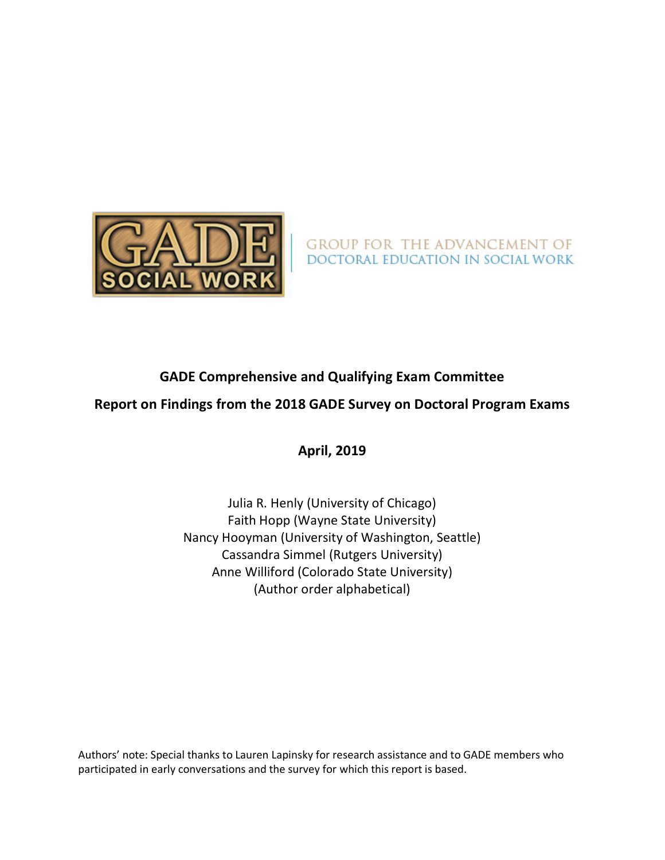

GROUP FOR THE ADVANCEMENT OF<br>DOCTORAL EDUCATION IN SOCIAL WORK

### **GADE Comprehensive and Qualifying Exam Committee**

### **Report on Findings from the 2018 GADE Survey on Doctoral Program Exams**

**April, 2019**

Julia R. Henly (University of Chicago) Faith Hopp (Wayne State University) Nancy Hooyman (University of Washington, Seattle) Cassandra Simmel (Rutgers University) Anne Williford (Colorado State University) (Author order alphabetical)

Authors' note: Special thanks to Lauren Lapinsky for research assistance and to GADE members who participated in early conversations and the survey for which this report is based.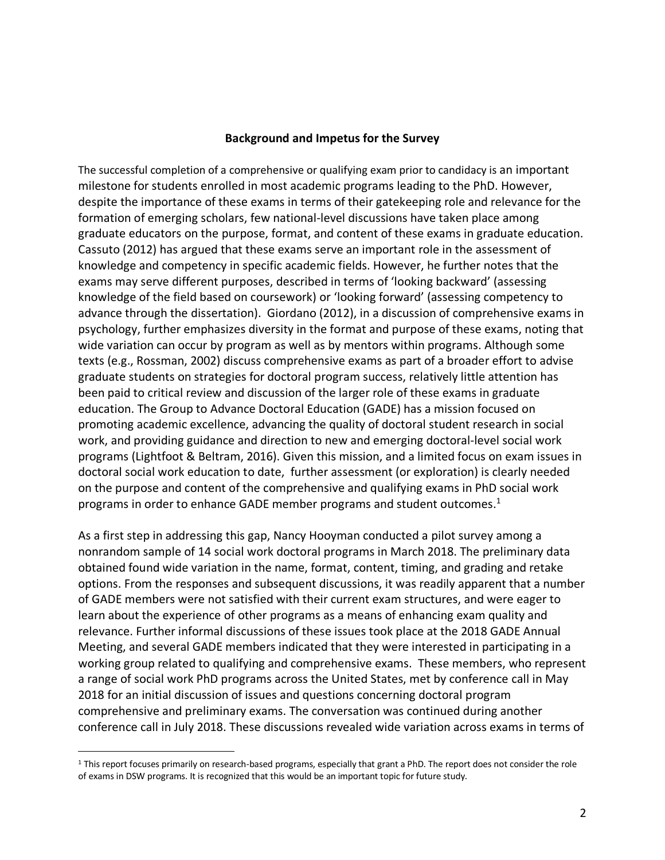#### **Background and Impetus for the Survey**

The successful completion of a comprehensive or qualifying exam prior to candidacy is an important milestone for students enrolled in most academic programs leading to the PhD. However, despite the importance of these exams in terms of their gatekeeping role and relevance for the formation of emerging scholars, few national-level discussions have taken place among graduate educators on the purpose, format, and content of these exams in graduate education. Cassuto (2012) has argued that these exams serve an important role in the assessment of knowledge and competency in specific academic fields. However, he further notes that the exams may serve different purposes, described in terms of 'looking backward' (assessing knowledge of the field based on coursework) or 'looking forward' (assessing competency to advance through the dissertation). Giordano (2012), in a discussion of comprehensive exams in psychology, further emphasizes diversity in the format and purpose of these exams, noting that wide variation can occur by program as well as by mentors within programs. Although some texts (e.g., Rossman, 2002) discuss comprehensive exams as part of a broader effort to advise graduate students on strategies for doctoral program success, relatively little attention has been paid to critical review and discussion of the larger role of these exams in graduate education. The Group to Advance Doctoral Education (GADE) has a mission focused on promoting academic excellence, advancing the quality of doctoral student research in social work, and providing guidance and direction to new and emerging doctoral-level social work programs (Lightfoot & Beltram, 2016). Given this mission, and a limited focus on exam issues in doctoral social work education to date, further assessment (or exploration) is clearly needed on the purpose and content of the comprehensive and qualifying exams in PhD social work programs in order to enhance GADE member programs and student outcomes. $1$ 

As a first step in addressing this gap, Nancy Hooyman conducted a pilot survey among a nonrandom sample of 14 social work doctoral programs in March 2018. The preliminary data obtained found wide variation in the name, format, content, timing, and grading and retake options. From the responses and subsequent discussions, it was readily apparent that a number of GADE members were not satisfied with their current exam structures, and were eager to learn about the experience of other programs as a means of enhancing exam quality and relevance. Further informal discussions of these issues took place at the 2018 GADE Annual Meeting, and several GADE members indicated that they were interested in participating in a working group related to qualifying and comprehensive exams. These members, who represent a range of social work PhD programs across the United States, met by conference call in May 2018 for an initial discussion of issues and questions concerning doctoral program comprehensive and preliminary exams. The conversation was continued during another conference call in July 2018. These discussions revealed wide variation across exams in terms of

 <sup>1</sup> This report focuses primarily on research-based programs, especially that grant a PhD. The report does not consider the role of exams in DSW programs. It is recognized that this would be an important topic for future study.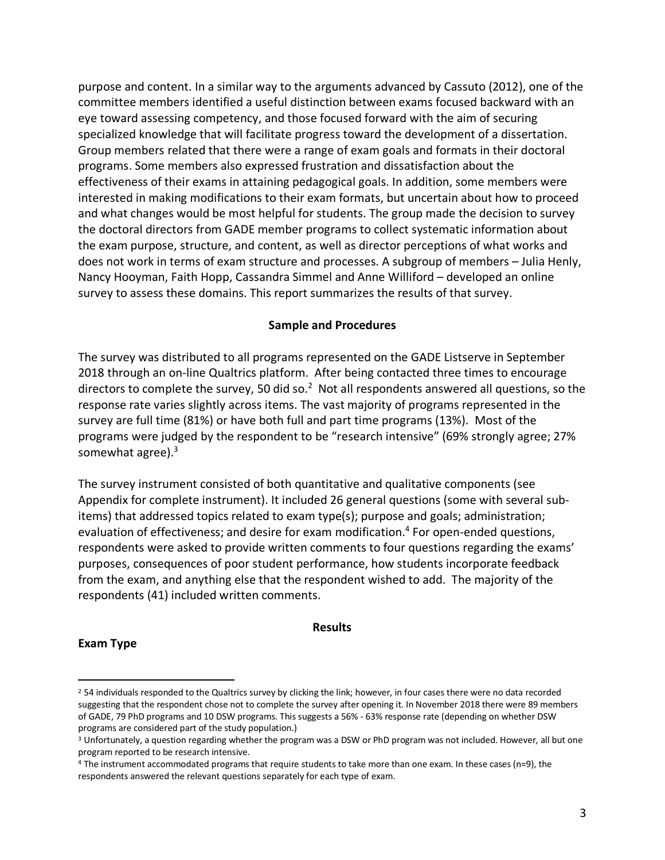purpose and content. In a similar way to the arguments advanced by Cassuto (2012), one of the committee members identified a useful distinction between exams focused backward with an eye toward assessing competency, and those focused forward with the aim of securing specialized knowledge that will facilitate progress toward the development of a dissertation. Group members related that there were a range of exam goals and formats in their doctoral programs. Some members also expressed frustration and dissatisfaction about the effectiveness of their exams in attaining pedagogical goals. In addition, some members were interested in making modifications to their exam formats, but uncertain about how to proceed and what changes would be most helpful for students. The group made the decision to survey the doctoral directors from GADE member programs to collect systematic information about the exam purpose, structure, and content, as well as director perceptions of what works and does not work in terms of exam structure and processes. A subgroup of members – Julia Henly, Nancy Hooyman, Faith Hopp, Cassandra Simmel and Anne Williford – developed an online survey to assess these domains. This report summarizes the results of that survey.

#### **Sample and Procedures**

The survey was distributed to all programs represented on the GADE Listserve in September 2018 through an on-line Qualtrics platform. After being contacted three times to encourage directors to complete the survey, 50 did so.<sup>2</sup> Not all respondents answered all questions, so the response rate varies slightly across items. The vast majority of programs represented in the survey are full time (81%) or have both full and part time programs (13%). Most of the programs were judged by the respondent to be "research intensive" (69% strongly agree; 27% somewhat agree). $3$ 

The survey instrument consisted of both quantitative and qualitative components (see Appendix for complete instrument). It included 26 general questions (some with several subitems) that addressed topics related to exam type(s); purpose and goals; administration; evaluation of effectiveness; and desire for exam modification.<sup>4</sup> For open-ended questions, respondents were asked to provide written comments to four questions regarding the exams' purposes, consequences of poor student performance, how students incorporate feedback from the exam, and anything else that the respondent wished to add. The majority of the respondents (41) included written comments.

#### **Results**

#### **Exam Type**

<sup>&</sup>lt;sup>2</sup> 54 individuals responded to the Qualtrics survey by clicking the link; however, in four cases there were no data recorded suggesting that the respondent chose not to complete the survey after opening it. In November 2018 there were 89 members of GADE, 79 PhD programs and 10 DSW programs. This suggests a 56% - 63% response rate (depending on whether DSW programs are considered part of the study population.)

<sup>3</sup> Unfortunately, a question regarding whether the program was a DSW or PhD program was not included. However, all but one program reported to be research intensive.

<sup>4</sup> The instrument accommodated programs that require students to take more than one exam. In these cases (n=9), the respondents answered the relevant questions separately for each type of exam.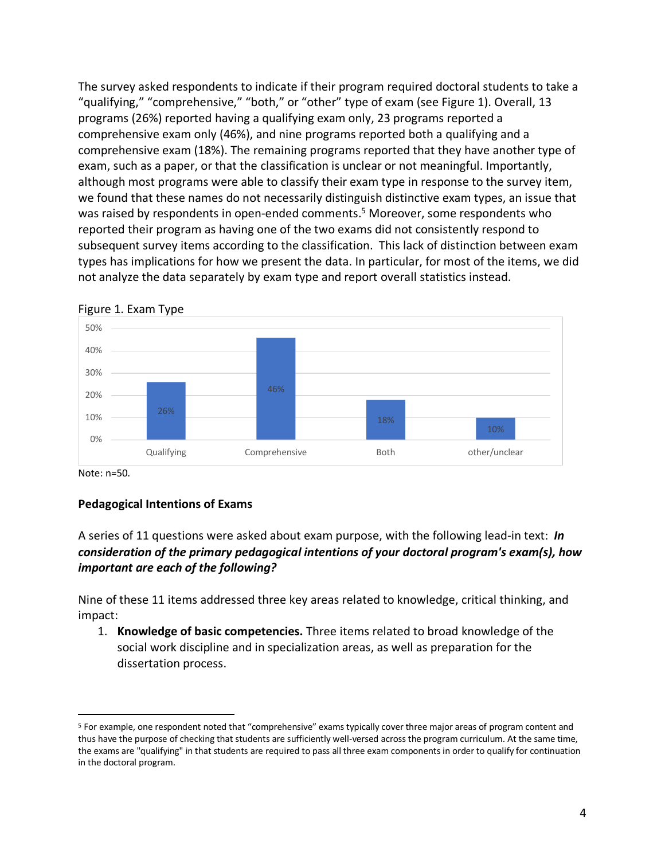The survey asked respondents to indicate if their program required doctoral students to take a "qualifying," "comprehensive," "both," or "other" type of exam (see Figure 1). Overall, 13 programs (26%) reported having a qualifying exam only, 23 programs reported a comprehensive exam only (46%), and nine programs reported both a qualifying and a comprehensive exam (18%). The remaining programs reported that they have another type of exam, such as a paper, or that the classification is unclear or not meaningful. Importantly, although most programs were able to classify their exam type in response to the survey item, we found that these names do not necessarily distinguish distinctive exam types, an issue that was raised by respondents in open-ended comments.<sup>5</sup> Moreover, some respondents who reported their program as having one of the two exams did not consistently respond to subsequent survey items according to the classification. This lack of distinction between exam types has implications for how we present the data. In particular, for most of the items, we did not analyze the data separately by exam type and report overall statistics instead.





Note: n=50.

#### **Pedagogical Intentions of Exams**

#### A series of 11 questions were asked about exam purpose, with the following lead-in text: *In consideration of the primary pedagogical intentions of your doctoral program's exam(s), how important are each of the following?*

Nine of these 11 items addressed three key areas related to knowledge, critical thinking, and impact:

1. **Knowledge of basic competencies.** Three items related to broad knowledge of the social work discipline and in specialization areas, as well as preparation for the dissertation process.

 <sup>5</sup> For example, one respondent noted that "comprehensive" exams typically cover three major areas of program content and thus have the purpose of checking that students are sufficiently well-versed across the program curriculum. At the same time, the exams are "qualifying" in that students are required to pass all three exam components in order to qualify for continuation in the doctoral program.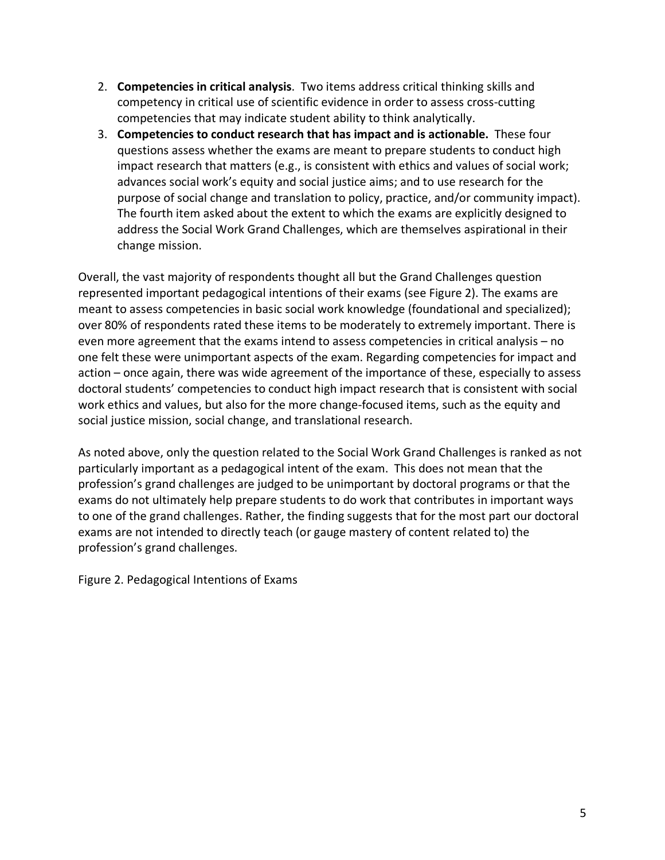- 2. **Competencies in critical analysis**. Two items address critical thinking skills and competency in critical use of scientific evidence in order to assess cross-cutting competencies that may indicate student ability to think analytically.
- 3. **Competencies to conduct research that has impact and is actionable.** These four questions assess whether the exams are meant to prepare students to conduct high impact research that matters (e.g., is consistent with ethics and values of social work; advances social work's equity and social justice aims; and to use research for the purpose of social change and translation to policy, practice, and/or community impact). The fourth item asked about the extent to which the exams are explicitly designed to address the Social Work Grand Challenges, which are themselves aspirational in their change mission.

Overall, the vast majority of respondents thought all but the Grand Challenges question represented important pedagogical intentions of their exams (see Figure 2). The exams are meant to assess competencies in basic social work knowledge (foundational and specialized); over 80% of respondents rated these items to be moderately to extremely important. There is even more agreement that the exams intend to assess competencies in critical analysis – no one felt these were unimportant aspects of the exam. Regarding competencies for impact and action – once again, there was wide agreement of the importance of these, especially to assess doctoral students' competencies to conduct high impact research that is consistent with social work ethics and values, but also for the more change-focused items, such as the equity and social justice mission, social change, and translational research.

As noted above, only the question related to the Social Work Grand Challenges is ranked as not particularly important as a pedagogical intent of the exam. This does not mean that the profession's grand challenges are judged to be unimportant by doctoral programs or that the exams do not ultimately help prepare students to do work that contributes in important ways to one of the grand challenges. Rather, the finding suggests that for the most part our doctoral exams are not intended to directly teach (or gauge mastery of content related to) the profession's grand challenges.

Figure 2. Pedagogical Intentions of Exams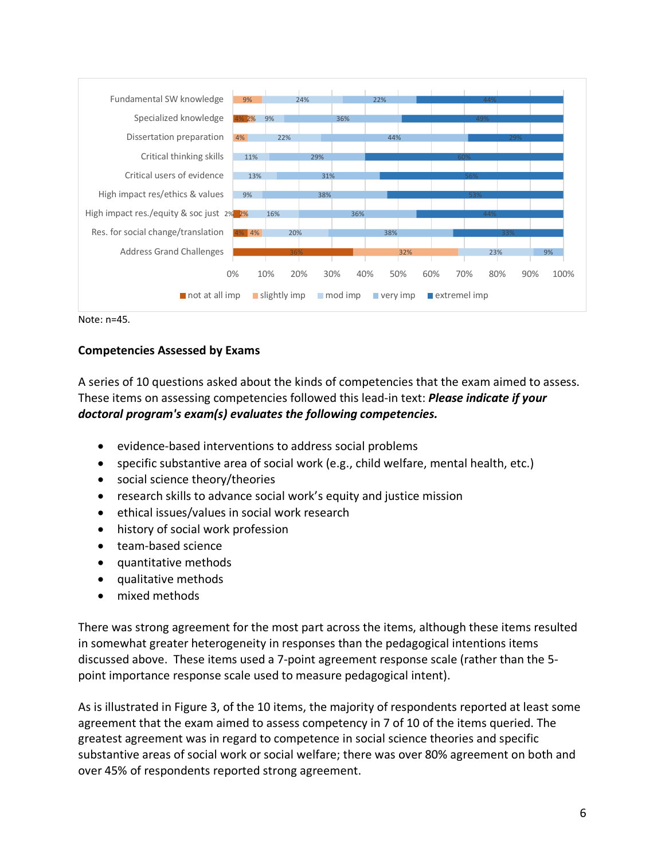

Note: n=45.

#### **Competencies Assessed by Exams**

A series of 10 questions asked about the kinds of competencies that the exam aimed to assess. These items on assessing competencies followed this lead-in text: *Please indicate if your doctoral program's exam(s) evaluates the following competencies.* 

- evidence-based interventions to address social problems
- specific substantive area of social work (e.g., child welfare, mental health, etc.)
- social science theory/theories
- research skills to advance social work's equity and justice mission
- ethical issues/values in social work research
- history of social work profession
- team-based science
- quantitative methods
- qualitative methods
- mixed methods

There was strong agreement for the most part across the items, although these items resulted in somewhat greater heterogeneity in responses than the pedagogical intentions items discussed above. These items used a 7-point agreement response scale (rather than the 5 point importance response scale used to measure pedagogical intent).

As is illustrated in Figure 3, of the 10 items, the majority of respondents reported at least some agreement that the exam aimed to assess competency in 7 of 10 of the items queried. The greatest agreement was in regard to competence in social science theories and specific substantive areas of social work or social welfare; there was over 80% agreement on both and over 45% of respondents reported strong agreement.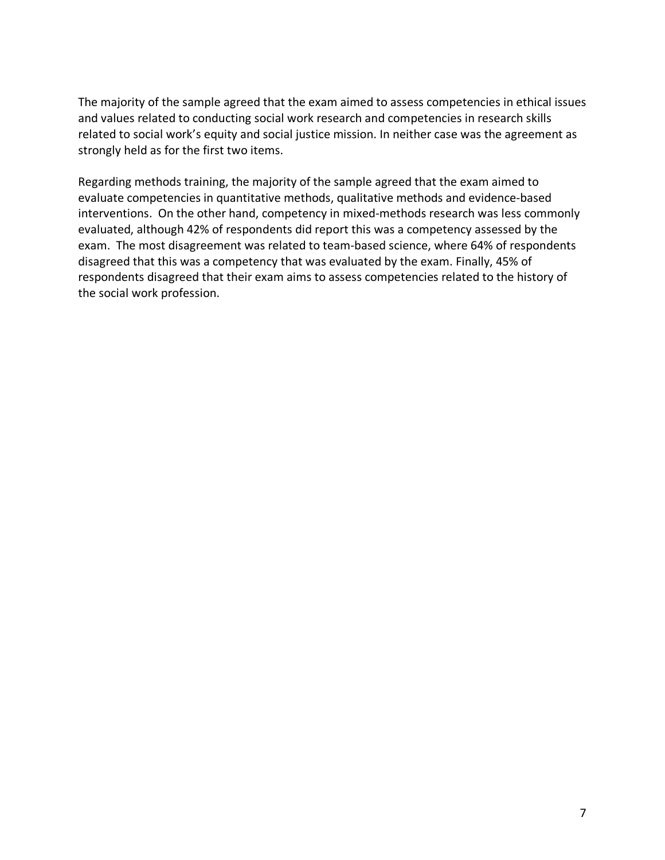The majority of the sample agreed that the exam aimed to assess competencies in ethical issues and values related to conducting social work research and competencies in research skills related to social work's equity and social justice mission. In neither case was the agreement as strongly held as for the first two items.

Regarding methods training, the majority of the sample agreed that the exam aimed to evaluate competencies in quantitative methods, qualitative methods and evidence-based interventions. On the other hand, competency in mixed-methods research was less commonly evaluated, although 42% of respondents did report this was a competency assessed by the exam. The most disagreement was related to team-based science, where 64% of respondents disagreed that this was a competency that was evaluated by the exam. Finally, 45% of respondents disagreed that their exam aims to assess competencies related to the history of the social work profession.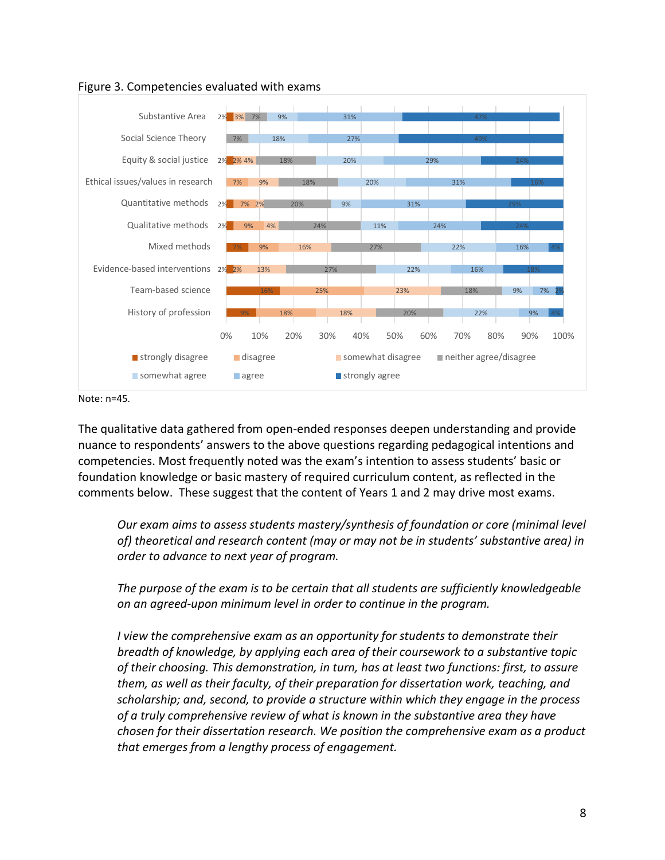

Figure 3. Competencies evaluated with exams

Note: n=45.

The qualitative data gathered from open-ended responses deepen understanding and provide nuance to respondents' answers to the above questions regarding pedagogical intentions and competencies. Most frequently noted was the exam's intention to assess students' basic or foundation knowledge or basic mastery of required curriculum content, as reflected in the comments below. These suggest that the content of Years 1 and 2 may drive most exams.

*Our exam aims to assess students mastery/synthesis of foundation or core (minimal level of) theoretical and research content (may or may not be in students' substantive area) in order to advance to next year of program.*

*The purpose of the exam is to be certain that all students are sufficiently knowledgeable on an agreed-upon minimum level in order to continue in the program.*

*I view the comprehensive exam as an opportunity for students to demonstrate their breadth of knowledge, by applying each area of their coursework to a substantive topic of their choosing. This demonstration, in turn, has at least two functions: first, to assure them, as well as their faculty, of their preparation for dissertation work, teaching, and scholarship; and, second, to provide a structure within which they engage in the process of a truly comprehensive review of what is known in the substantive area they have chosen for their dissertation research. We position the comprehensive exam as a product that emerges from a lengthy process of engagement.*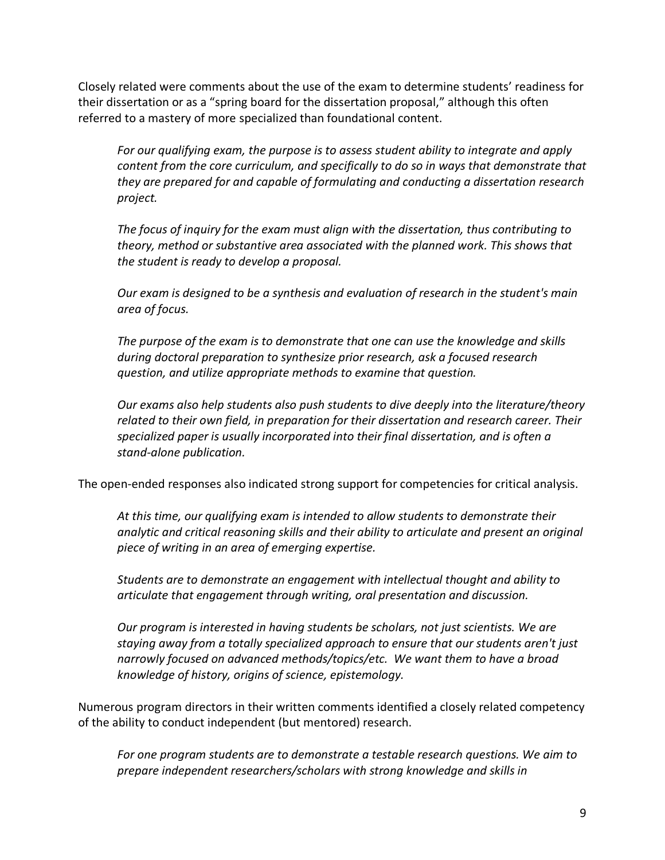Closely related were comments about the use of the exam to determine students' readiness for their dissertation or as a "spring board for the dissertation proposal," although this often referred to a mastery of more specialized than foundational content.

*For our qualifying exam, the purpose is to assess student ability to integrate and apply content from the core curriculum, and specifically to do so in ways that demonstrate that they are prepared for and capable of formulating and conducting a dissertation research project.*

*The focus of inquiry for the exam must align with the dissertation, thus contributing to theory, method or substantive area associated with the planned work. This shows that the student is ready to develop a proposal.* 

*Our exam is designed to be a synthesis and evaluation of research in the student's main area of focus.*

*The purpose of the exam is to demonstrate that one can use the knowledge and skills during doctoral preparation to synthesize prior research, ask a focused research question, and utilize appropriate methods to examine that question.* 

*Our exams also help students also push students to dive deeply into the literature/theory related to their own field, in preparation for their dissertation and research career. Their specialized paper is usually incorporated into their final dissertation, and is often a stand-alone publication.*

The open-ended responses also indicated strong support for competencies for critical analysis.

*At this time, our qualifying exam is intended to allow students to demonstrate their analytic and critical reasoning skills and their ability to articulate and present an original piece of writing in an area of emerging expertise.* 

*Students are to demonstrate an engagement with intellectual thought and ability to articulate that engagement through writing, oral presentation and discussion.*

*Our program is interested in having students be scholars, not just scientists. We are staying away from a totally specialized approach to ensure that our students aren't just narrowly focused on advanced methods/topics/etc. We want them to have a broad knowledge of history, origins of science, epistemology.*

Numerous program directors in their written comments identified a closely related competency of the ability to conduct independent (but mentored) research.

*For one program students are to demonstrate a testable research questions. We aim to prepare independent researchers/scholars with strong knowledge and skills in*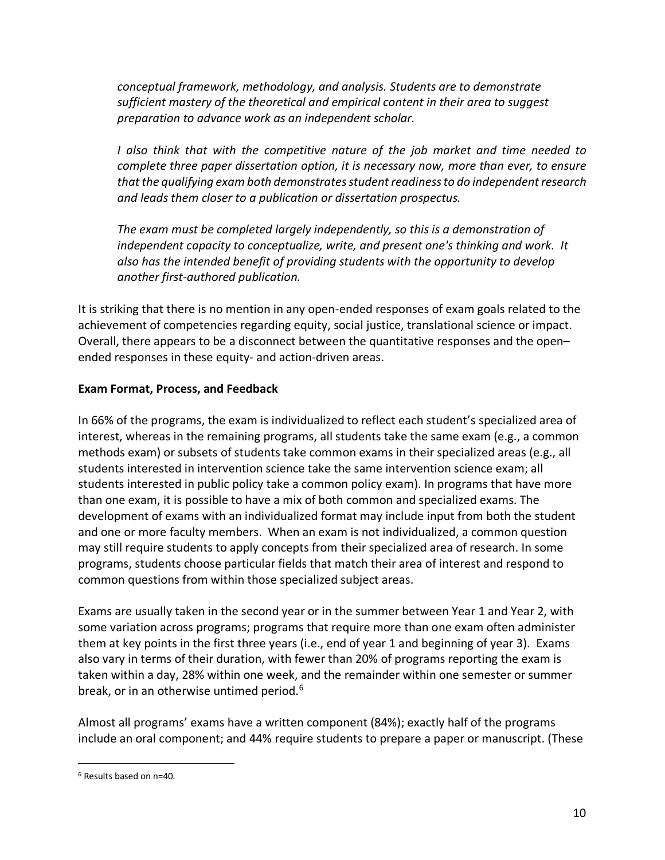*conceptual framework, methodology, and analysis. Students are to demonstrate sufficient mastery of the theoretical and empirical content in their area to suggest preparation to advance work as an independent scholar.*

*I also think that with the competitive nature of the job market and time needed to complete three paper dissertation option, it is necessary now, more than ever, to ensure that the qualifying exam both demonstrates student readiness to do independent research and leads them closer to a publication or dissertation prospectus.* 

*The exam must be completed largely independently, so this is a demonstration of independent capacity to conceptualize, write, and present one's thinking and work. It also has the intended benefit of providing students with the opportunity to develop another first-authored publication.*

It is striking that there is no mention in any open-ended responses of exam goals related to the achievement of competencies regarding equity, social justice, translational science or impact. Overall, there appears to be a disconnect between the quantitative responses and the open– ended responses in these equity- and action-driven areas.

#### **Exam Format, Process, and Feedback**

In 66% of the programs, the exam is individualized to reflect each student's specialized area of interest, whereas in the remaining programs, all students take the same exam (e.g., a common methods exam) or subsets of students take common exams in their specialized areas (e.g., all students interested in intervention science take the same intervention science exam; all students interested in public policy take a common policy exam). In programs that have more than one exam, it is possible to have a mix of both common and specialized exams. The development of exams with an individualized format may include input from both the student and one or more faculty members. When an exam is not individualized, a common question may still require students to apply concepts from their specialized area of research. In some programs, students choose particular fields that match their area of interest and respond to common questions from within those specialized subject areas.

Exams are usually taken in the second year or in the summer between Year 1 and Year 2, with some variation across programs; programs that require more than one exam often administer them at key points in the first three years (i.e., end of year 1 and beginning of year 3). Exams also vary in terms of their duration, with fewer than 20% of programs reporting the exam is taken within a day, 28% within one week, and the remainder within one semester or summer break, or in an otherwise untimed period.<sup>6</sup>

Almost all programs' exams have a written component (84%); exactly half of the programs include an oral component; and 44% require students to prepare a paper or manuscript. (These

 <sup>6</sup> Results based on n=40.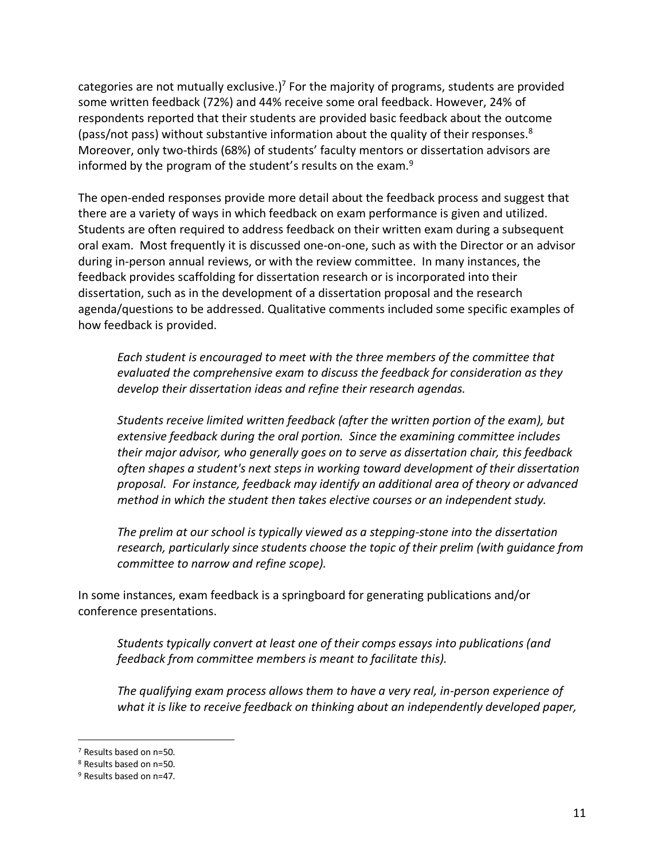categories are not mutually exclusive.)<sup>7</sup> For the majority of programs, students are provided some written feedback (72%) and 44% receive some oral feedback. However, 24% of respondents reported that their students are provided basic feedback about the outcome (pass/not pass) without substantive information about the quality of their responses.<sup>8</sup> Moreover, only two-thirds (68%) of students' faculty mentors or dissertation advisors are informed by the program of the student's results on the exam.<sup>9</sup>

The open-ended responses provide more detail about the feedback process and suggest that there are a variety of ways in which feedback on exam performance is given and utilized. Students are often required to address feedback on their written exam during a subsequent oral exam. Most frequently it is discussed one-on-one, such as with the Director or an advisor during in-person annual reviews, or with the review committee. In many instances, the feedback provides scaffolding for dissertation research or is incorporated into their dissertation, such as in the development of a dissertation proposal and the research agenda/questions to be addressed. Qualitative comments included some specific examples of how feedback is provided.

*Each student is encouraged to meet with the three members of the committee that evaluated the comprehensive exam to discuss the feedback for consideration as they develop their dissertation ideas and refine their research agendas.*

*Students receive limited written feedback (after the written portion of the exam), but extensive feedback during the oral portion. Since the examining committee includes their major advisor, who generally goes on to serve as dissertation chair, this feedback often shapes a student's next steps in working toward development of their dissertation proposal. For instance, feedback may identify an additional area of theory or advanced method in which the student then takes elective courses or an independent study.*

*The prelim at our school is typically viewed as a stepping-stone into the dissertation research, particularly since students choose the topic of their prelim (with guidance from committee to narrow and refine scope).* 

In some instances, exam feedback is a springboard for generating publications and/or conference presentations.

*Students typically convert at least one of their comps essays into publications (and feedback from committee members is meant to facilitate this).* 

*The qualifying exam process allows them to have a very real, in-person experience of what it is like to receive feedback on thinking about an independently developed paper,* 

 <sup>7</sup> Results based on n=50.

<sup>8</sup> Results based on n=50.

<sup>9</sup> Results based on n=47.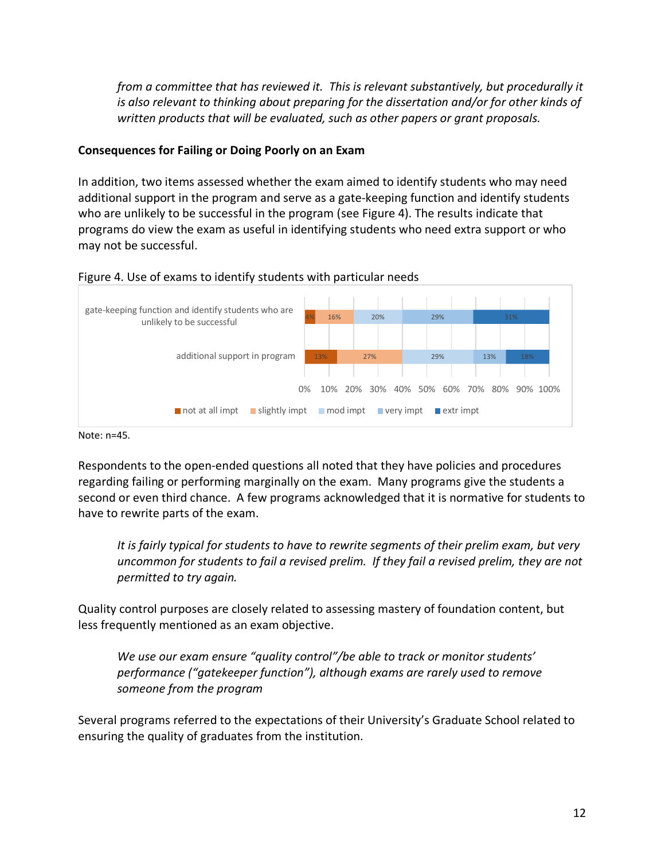*from a committee that has reviewed it. This is relevant substantively, but procedurally it is also relevant to thinking about preparing for the dissertation and/or for other kinds of written products that will be evaluated, such as other papers or grant proposals.*

#### **Consequences for Failing or Doing Poorly on an Exam**

In addition, two items assessed whether the exam aimed to identify students who may need additional support in the program and serve as a gate-keeping function and identify students who are unlikely to be successful in the program (see Figure 4). The results indicate that programs do view the exam as useful in identifying students who need extra support or who may not be successful.



#### Figure 4. Use of exams to identify students with particular needs

Note: n=45.

Respondents to the open-ended questions all noted that they have policies and procedures regarding failing or performing marginally on the exam. Many programs give the students a second or even third chance. A few programs acknowledged that it is normative for students to have to rewrite parts of the exam.

*It is fairly typical for students to have to rewrite segments of their prelim exam, but very uncommon for students to fail a revised prelim. If they fail a revised prelim, they are not permitted to try again.* 

Quality control purposes are closely related to assessing mastery of foundation content, but less frequently mentioned as an exam objective.

*We use our exam ensure "quality control"/be able to track or monitor students' performance ("gatekeeper function"), although exams are rarely used to remove someone from the program*

Several programs referred to the expectations of their University's Graduate School related to ensuring the quality of graduates from the institution.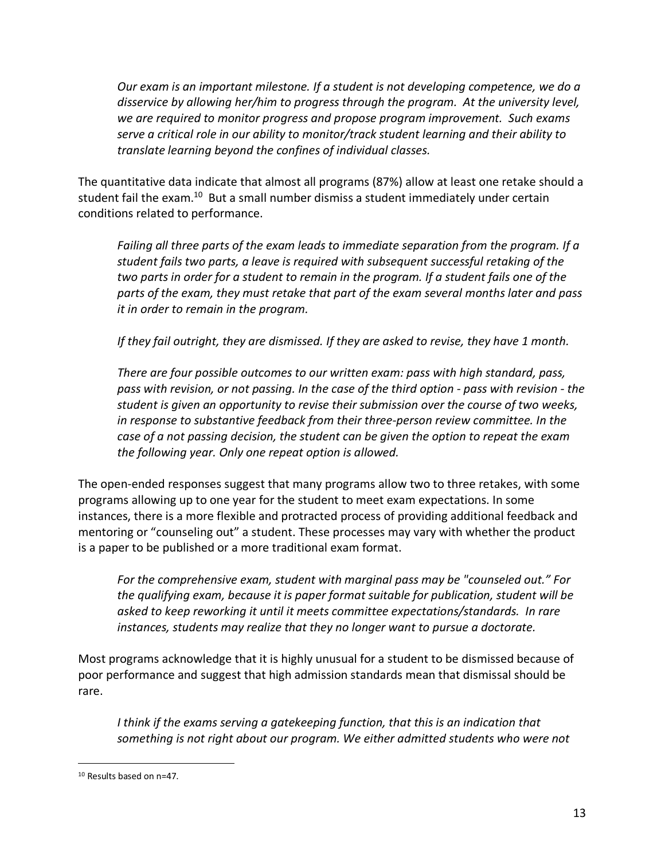*Our exam is an important milestone. If a student is not developing competence, we do a disservice by allowing her/him to progress through the program. At the university level, we are required to monitor progress and propose program improvement. Such exams serve a critical role in our ability to monitor/track student learning and their ability to translate learning beyond the confines of individual classes.* 

The quantitative data indicate that almost all programs (87%) allow at least one retake should a student fail the exam.<sup>10</sup> But a small number dismiss a student immediately under certain conditions related to performance.

*Failing all three parts of the exam leads to immediate separation from the program. If a student fails two parts, a leave is required with subsequent successful retaking of the two parts in order for a student to remain in the program. If a student fails one of the parts of the exam, they must retake that part of the exam several months later and pass it in order to remain in the program.* 

*If they fail outright, they are dismissed. If they are asked to revise, they have 1 month.* 

*There are four possible outcomes to our written exam: pass with high standard, pass, pass with revision, or not passing. In the case of the third option - pass with revision - the student is given an opportunity to revise their submission over the course of two weeks,*  in response to substantive feedback from their three-person review committee. In the *case of a not passing decision, the student can be given the option to repeat the exam the following year. Only one repeat option is allowed.* 

The open-ended responses suggest that many programs allow two to three retakes, with some programs allowing up to one year for the student to meet exam expectations. In some instances, there is a more flexible and protracted process of providing additional feedback and mentoring or "counseling out" a student. These processes may vary with whether the product is a paper to be published or a more traditional exam format.

*For the comprehensive exam, student with marginal pass may be "counseled out." For the qualifying exam, because it is paper format suitable for publication, student will be asked to keep reworking it until it meets committee expectations/standards. In rare instances, students may realize that they no longer want to pursue a doctorate.*

Most programs acknowledge that it is highly unusual for a student to be dismissed because of poor performance and suggest that high admission standards mean that dismissal should be rare.

*I think if the exams serving a gatekeeping function, that this is an indication that something is not right about our program. We either admitted students who were not* 

 <sup>10</sup> Results based on n=47.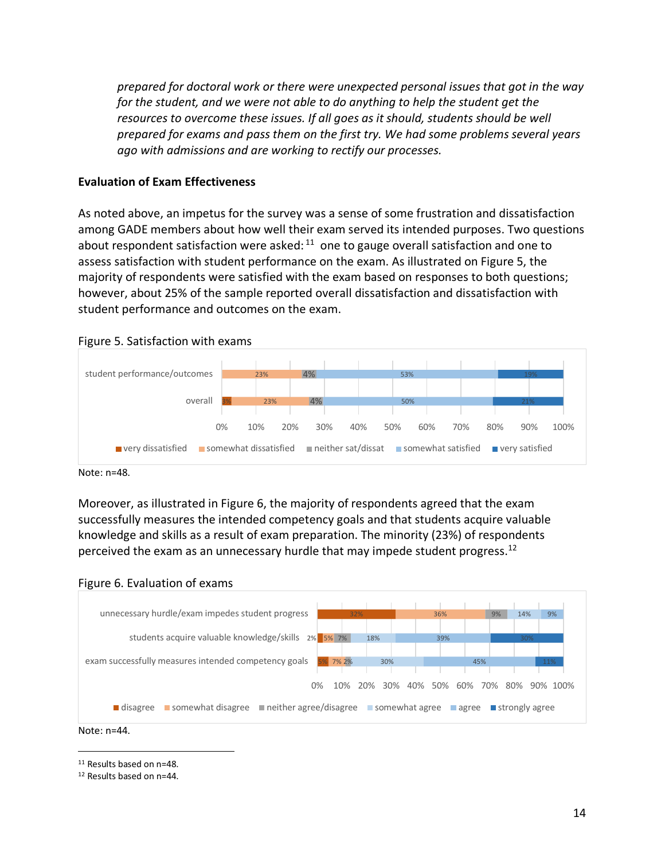*prepared for doctoral work or there were unexpected personal issues that got in the way for the student, and we were not able to do anything to help the student get the resources to overcome these issues. If all goes as it should, students should be well prepared for exams and pass them on the first try. We had some problems several years ago with admissions and are working to rectify our processes.*

#### **Evaluation of Exam Effectiveness**

As noted above, an impetus for the survey was a sense of some frustration and dissatisfaction among GADE members about how well their exam served its intended purposes. Two questions about respondent satisfaction were asked:  $11$  one to gauge overall satisfaction and one to assess satisfaction with student performance on the exam. As illustrated on Figure 5, the majority of respondents were satisfied with the exam based on responses to both questions; however, about 25% of the sample reported overall dissatisfaction and dissatisfaction with student performance and outcomes on the exam.





Moreover, as illustrated in Figure 6, the majority of respondents agreed that the exam successfully measures the intended competency goals and that students acquire valuable knowledge and skills as a result of exam preparation. The minority (23%) of respondents perceived the exam as an unnecessary hurdle that may impede student progress.<sup>12</sup>





Note: n=44.

11 Results based on n=48.

<sup>12</sup> Results based on n=44.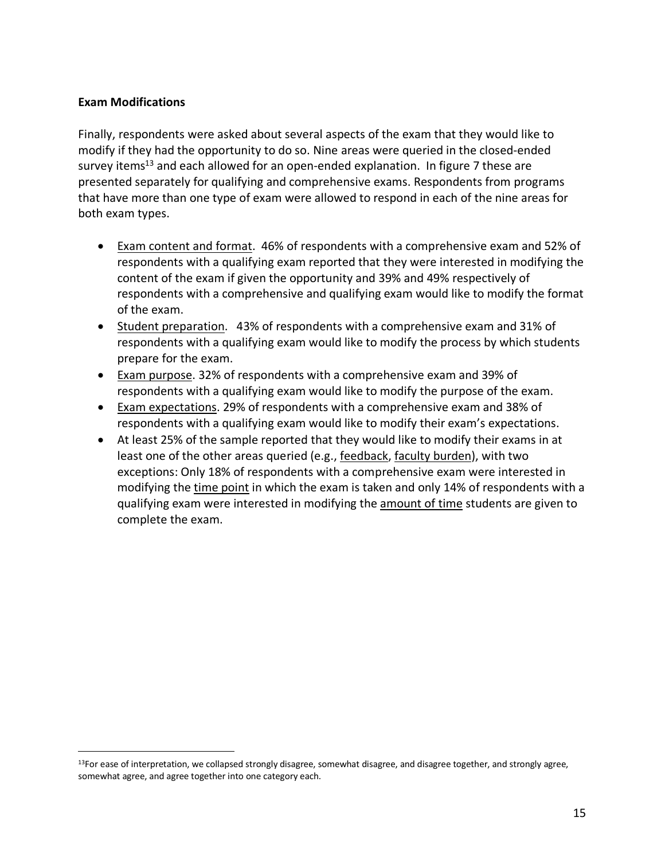#### **Exam Modifications**

Finally, respondents were asked about several aspects of the exam that they would like to modify if they had the opportunity to do so. Nine areas were queried in the closed-ended survey items<sup>13</sup> and each allowed for an open-ended explanation. In figure 7 these are presented separately for qualifying and comprehensive exams. Respondents from programs that have more than one type of exam were allowed to respond in each of the nine areas for both exam types.

- Exam content and format. 46% of respondents with a comprehensive exam and 52% of respondents with a qualifying exam reported that they were interested in modifying the content of the exam if given the opportunity and 39% and 49% respectively of respondents with a comprehensive and qualifying exam would like to modify the format of the exam.
- Student preparation. 43% of respondents with a comprehensive exam and 31% of respondents with a qualifying exam would like to modify the process by which students prepare for the exam.
- Exam purpose. 32% of respondents with a comprehensive exam and 39% of respondents with a qualifying exam would like to modify the purpose of the exam.
- Exam expectations. 29% of respondents with a comprehensive exam and 38% of respondents with a qualifying exam would like to modify their exam's expectations.
- At least 25% of the sample reported that they would like to modify their exams in at least one of the other areas queried (e.g., feedback, faculty burden), with two exceptions: Only 18% of respondents with a comprehensive exam were interested in modifying the time point in which the exam is taken and only 14% of respondents with a qualifying exam were interested in modifying the amount of time students are given to complete the exam.

<sup>&</sup>lt;sup>13</sup>For ease of interpretation, we collapsed strongly disagree, somewhat disagree, and disagree together, and strongly agree, somewhat agree, and agree together into one category each.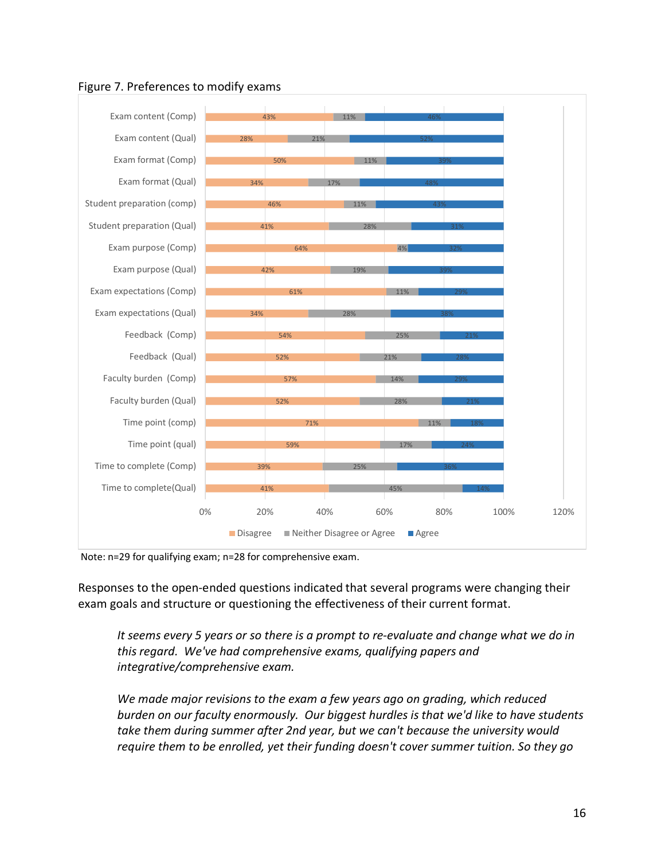

### Figure 7. Preferences to modify exams

Note: n=29 for qualifying exam; n=28 for comprehensive exam.

Responses to the open-ended questions indicated that several programs were changing their exam goals and structure or questioning the effectiveness of their current format.

*It seems every 5 years or so there is a prompt to re-evaluate and change what we do in this regard. We've had comprehensive exams, qualifying papers and integrative/comprehensive exam.* 

*We made major revisions to the exam a few years ago on grading, which reduced burden on our faculty enormously. Our biggest hurdles is that we'd like to have students take them during summer after 2nd year, but we can't because the university would require them to be enrolled, yet their funding doesn't cover summer tuition. So they go*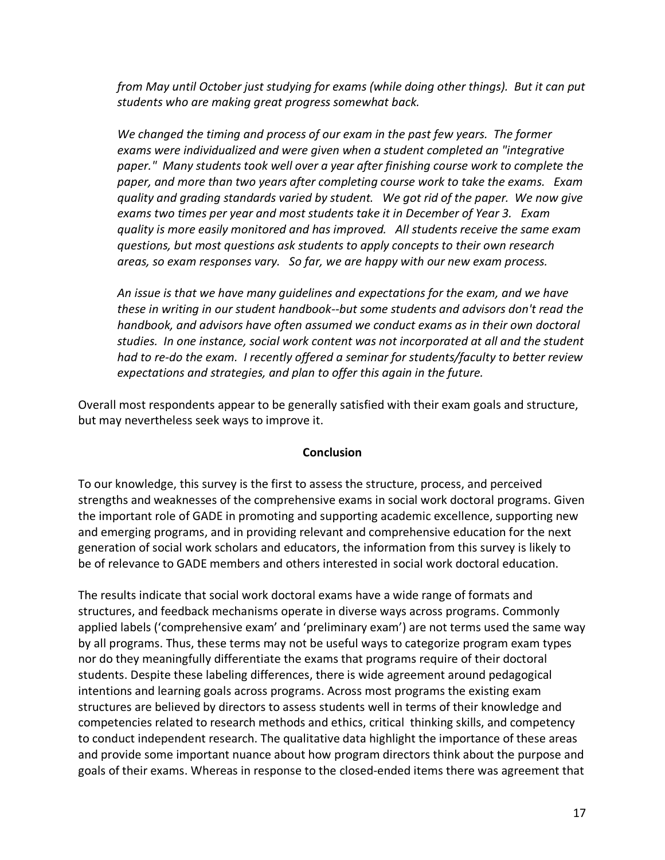*from May until October just studying for exams (while doing other things). But it can put students who are making great progress somewhat back.* 

*We changed the timing and process of our exam in the past few years. The former exams were individualized and were given when a student completed an "integrative paper." Many students took well over a year after finishing course work to complete the paper, and more than two years after completing course work to take the exams. Exam quality and grading standards varied by student. We got rid of the paper. We now give exams two times per year and most students take it in December of Year 3. Exam quality is more easily monitored and has improved. All students receive the same exam questions, but most questions ask students to apply concepts to their own research areas, so exam responses vary. So far, we are happy with our new exam process.* 

*An issue is that we have many guidelines and expectations for the exam, and we have these in writing in our student handbook--but some students and advisors don't read the handbook, and advisors have often assumed we conduct exams as in their own doctoral studies. In one instance, social work content was not incorporated at all and the student had to re-do the exam. I recently offered a seminar for students/faculty to better review expectations and strategies, and plan to offer this again in the future.* 

Overall most respondents appear to be generally satisfied with their exam goals and structure, but may nevertheless seek ways to improve it.

#### **Conclusion**

To our knowledge, this survey is the first to assess the structure, process, and perceived strengths and weaknesses of the comprehensive exams in social work doctoral programs. Given the important role of GADE in promoting and supporting academic excellence, supporting new and emerging programs, and in providing relevant and comprehensive education for the next generation of social work scholars and educators, the information from this survey is likely to be of relevance to GADE members and others interested in social work doctoral education.

The results indicate that social work doctoral exams have a wide range of formats and structures, and feedback mechanisms operate in diverse ways across programs. Commonly applied labels ('comprehensive exam' and 'preliminary exam') are not terms used the same way by all programs. Thus, these terms may not be useful ways to categorize program exam types nor do they meaningfully differentiate the exams that programs require of their doctoral students. Despite these labeling differences, there is wide agreement around pedagogical intentions and learning goals across programs. Across most programs the existing exam structures are believed by directors to assess students well in terms of their knowledge and competencies related to research methods and ethics, critical thinking skills, and competency to conduct independent research. The qualitative data highlight the importance of these areas and provide some important nuance about how program directors think about the purpose and goals of their exams. Whereas in response to the closed-ended items there was agreement that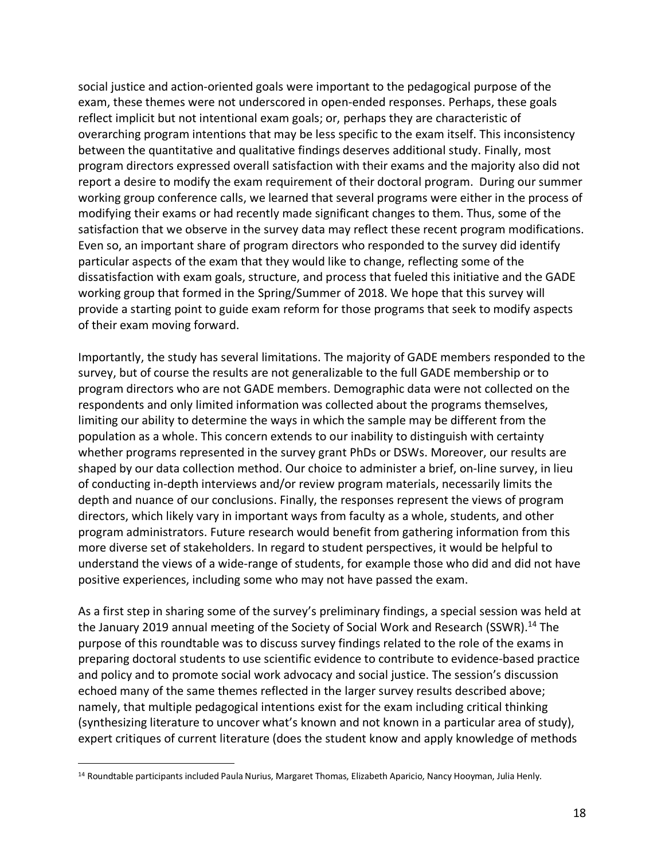social justice and action-oriented goals were important to the pedagogical purpose of the exam, these themes were not underscored in open-ended responses. Perhaps, these goals reflect implicit but not intentional exam goals; or, perhaps they are characteristic of overarching program intentions that may be less specific to the exam itself. This inconsistency between the quantitative and qualitative findings deserves additional study. Finally, most program directors expressed overall satisfaction with their exams and the majority also did not report a desire to modify the exam requirement of their doctoral program. During our summer working group conference calls, we learned that several programs were either in the process of modifying their exams or had recently made significant changes to them. Thus, some of the satisfaction that we observe in the survey data may reflect these recent program modifications. Even so, an important share of program directors who responded to the survey did identify particular aspects of the exam that they would like to change, reflecting some of the dissatisfaction with exam goals, structure, and process that fueled this initiative and the GADE working group that formed in the Spring/Summer of 2018. We hope that this survey will provide a starting point to guide exam reform for those programs that seek to modify aspects of their exam moving forward.

Importantly, the study has several limitations. The majority of GADE members responded to the survey, but of course the results are not generalizable to the full GADE membership or to program directors who are not GADE members. Demographic data were not collected on the respondents and only limited information was collected about the programs themselves, limiting our ability to determine the ways in which the sample may be different from the population as a whole. This concern extends to our inability to distinguish with certainty whether programs represented in the survey grant PhDs or DSWs. Moreover, our results are shaped by our data collection method. Our choice to administer a brief, on-line survey, in lieu of conducting in-depth interviews and/or review program materials, necessarily limits the depth and nuance of our conclusions. Finally, the responses represent the views of program directors, which likely vary in important ways from faculty as a whole, students, and other program administrators. Future research would benefit from gathering information from this more diverse set of stakeholders. In regard to student perspectives, it would be helpful to understand the views of a wide-range of students, for example those who did and did not have positive experiences, including some who may not have passed the exam.

As a first step in sharing some of the survey's preliminary findings, a special session was held at the January 2019 annual meeting of the Society of Social Work and Research (SSWR).<sup>14</sup> The purpose of this roundtable was to discuss survey findings related to the role of the exams in preparing doctoral students to use scientific evidence to contribute to evidence-based practice and policy and to promote social work advocacy and social justice. The session's discussion echoed many of the same themes reflected in the larger survey results described above; namely, that multiple pedagogical intentions exist for the exam including critical thinking (synthesizing literature to uncover what's known and not known in a particular area of study), expert critiques of current literature (does the student know and apply knowledge of methods

 <sup>14</sup> Roundtable participants included Paula Nurius, Margaret Thomas, Elizabeth Aparicio, Nancy Hooyman, Julia Henly.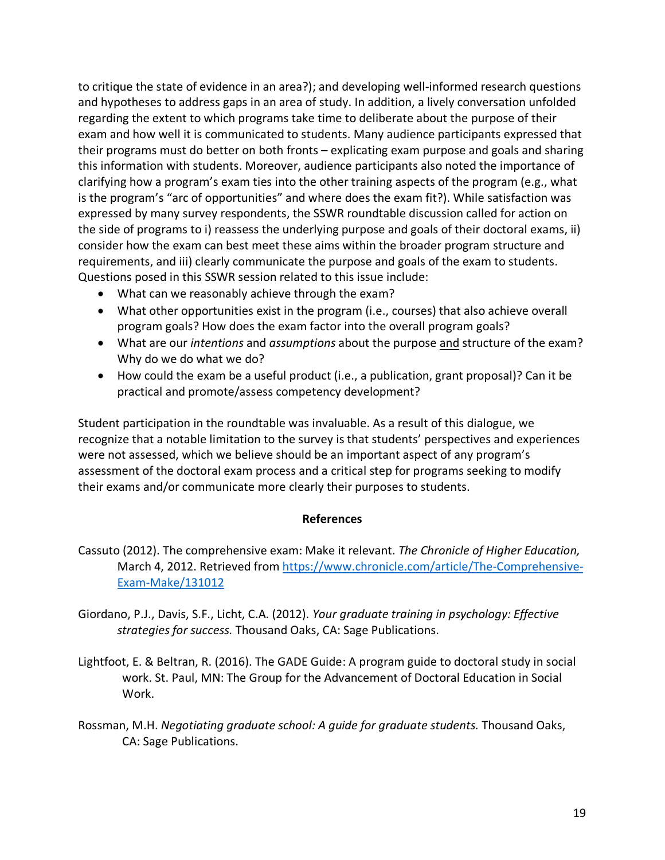to critique the state of evidence in an area?); and developing well-informed research questions and hypotheses to address gaps in an area of study. In addition, a lively conversation unfolded regarding the extent to which programs take time to deliberate about the purpose of their exam and how well it is communicated to students. Many audience participants expressed that their programs must do better on both fronts – explicating exam purpose and goals and sharing this information with students. Moreover, audience participants also noted the importance of clarifying how a program's exam ties into the other training aspects of the program (e.g., what is the program's "arc of opportunities" and where does the exam fit?). While satisfaction was expressed by many survey respondents, the SSWR roundtable discussion called for action on the side of programs to i) reassess the underlying purpose and goals of their doctoral exams, ii) consider how the exam can best meet these aims within the broader program structure and requirements, and iii) clearly communicate the purpose and goals of the exam to students. Questions posed in this SSWR session related to this issue include:

- What can we reasonably achieve through the exam?
- What other opportunities exist in the program (i.e., courses) that also achieve overall program goals? How does the exam factor into the overall program goals?
- What are our *intentions* and *assumptions* about the purpose and structure of the exam? Why do we do what we do?
- How could the exam be a useful product (i.e., a publication, grant proposal)? Can it be practical and promote/assess competency development?

Student participation in the roundtable was invaluable. As a result of this dialogue, we recognize that a notable limitation to the survey is that students' perspectives and experiences were not assessed, which we believe should be an important aspect of any program's assessment of the doctoral exam process and a critical step for programs seeking to modify their exams and/or communicate more clearly their purposes to students.

#### **References**

- Cassuto (2012). The comprehensive exam: Make it relevant. *The Chronicle of Higher Education,* March 4, 2012. Retrieved from https://www.chronicle.com/article/The-Comprehensive-Exam-Make/131012
- Giordano, P.J., Davis, S.F., Licht, C.A. (2012). *Your graduate training in psychology: Effective strategies for success.* Thousand Oaks, CA: Sage Publications.
- Lightfoot, E. & Beltran, R. (2016). The GADE Guide: A program guide to doctoral study in social work. St. Paul, MN: The Group for the Advancement of Doctoral Education in Social Work.
- Rossman, M.H. *Negotiating graduate school: A guide for graduate students.* Thousand Oaks, CA: Sage Publications.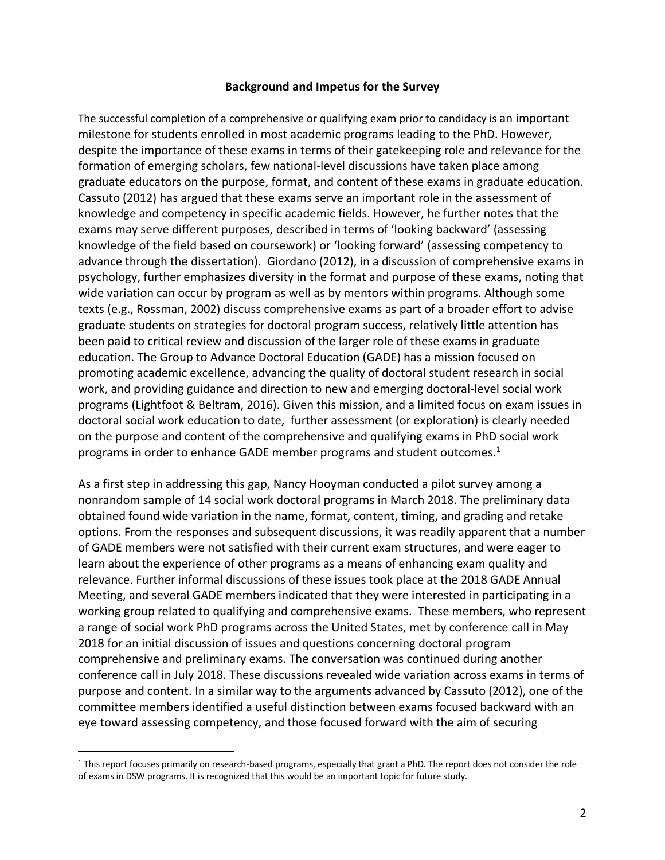#### **Background and Impetus for the Survey**

The successful completion of a comprehensive or qualifying exam prior to candidacy is an important milestone for students enrolled in most academic programs leading to the PhD. However, despite the importance of these exams in terms of their gatekeeping role and relevance for the formation of emerging scholars, few national-level discussions have taken place among graduate educators on the purpose, format, and content of these exams in graduate education. Cassuto (2012) has argued that these exams serve an important role in the assessment of knowledge and competency in specific academic fields. However, he further notes that the exams may serve different purposes, described in terms of 'looking backward' (assessing knowledge of the field based on coursework) or 'looking forward' (assessing competency to advance through the dissertation). Giordano (2012), in a discussion of comprehensive exams in psychology, further emphasizes diversity in the format and purpose of these exams, noting that wide variation can occur by program as well as by mentors within programs. Although some texts (e.g., Rossman, 2002) discuss comprehensive exams as part of a broader effort to advise graduate students on strategies for doctoral program success, relatively little attention has been paid to critical review and discussion of the larger role of these exams in graduate education. The Group to Advance Doctoral Education (GADE) has a mission focused on promoting academic excellence, advancing the quality of doctoral student research in social work, and providing guidance and direction to new and emerging doctoral-level social work programs (Lightfoot & Beltram, 2016). Given this mission, and a limited focus on exam issues in doctoral social work education to date, further assessment (or exploration) is clearly needed on the purpose and content of the comprehensive and qualifying exams in PhD social work programs in order to enhance GADE member programs and student outcomes.<sup>1</sup>

As a first step in addressing this gap, Nancy Hooyman conducted a pilot survey among a nonrandom sample of 14 social work doctoral programs in March 2018. The preliminary data obtained found wide variation in the name, format, content, timing, and grading and retake options. From the responses and subsequent discussions, it was readily apparent that a number of GADE members were not satisfied with their current exam structures, and were eager to learn about the experience of other programs as a means of enhancing exam quality and relevance. Further informal discussions of these issues took place at the 2018 GADE Annual Meeting, and several GADE members indicated that they were interested in participating in a working group related to qualifying and comprehensive exams. These members, who represent a range of social work PhD programs across the United States, met by conference call in May 2018 for an initial discussion of issues and questions concerning doctoral program comprehensive and preliminary exams. The conversation was continued during another conference call in July 2018. These discussions revealed wide variation across exams in terms of purpose and content. In a similar way to the arguments advanced by Cassuto (2012), one of the committee members identified a useful distinction between exams focused backward with an eye toward assessing competency, and those focused forward with the aim of securing

 <sup>1</sup> This report focuses primarily on research-based programs, especially that grant a PhD. The report does not consider the role of exams in DSW programs. It is recognized that this would be an important topic for future study.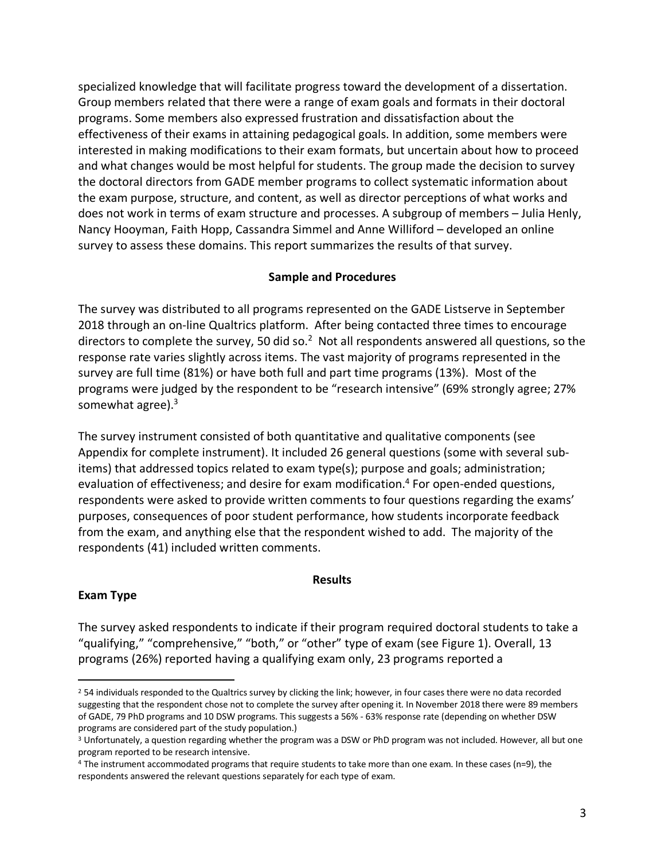specialized knowledge that will facilitate progress toward the development of a dissertation. Group members related that there were a range of exam goals and formats in their doctoral programs. Some members also expressed frustration and dissatisfaction about the effectiveness of their exams in attaining pedagogical goals. In addition, some members were interested in making modifications to their exam formats, but uncertain about how to proceed and what changes would be most helpful for students. The group made the decision to survey the doctoral directors from GADE member programs to collect systematic information about the exam purpose, structure, and content, as well as director perceptions of what works and does not work in terms of exam structure and processes. A subgroup of members – Julia Henly, Nancy Hooyman, Faith Hopp, Cassandra Simmel and Anne Williford – developed an online survey to assess these domains. This report summarizes the results of that survey.

#### **Sample and Procedures**

The survey was distributed to all programs represented on the GADE Listserve in September 2018 through an on-line Qualtrics platform. After being contacted three times to encourage directors to complete the survey, 50 did so.<sup>2</sup> Not all respondents answered all questions, so the response rate varies slightly across items. The vast majority of programs represented in the survey are full time (81%) or have both full and part time programs (13%). Most of the programs were judged by the respondent to be "research intensive" (69% strongly agree; 27% somewhat agree). $3$ 

The survey instrument consisted of both quantitative and qualitative components (see Appendix for complete instrument). It included 26 general questions (some with several subitems) that addressed topics related to exam type(s); purpose and goals; administration; evaluation of effectiveness; and desire for exam modification.<sup>4</sup> For open-ended questions, respondents were asked to provide written comments to four questions regarding the exams' purposes, consequences of poor student performance, how students incorporate feedback from the exam, and anything else that the respondent wished to add. The majority of the respondents (41) included written comments.

#### **Results**

#### **Exam Type**

The survey asked respondents to indicate if their program required doctoral students to take a "qualifying," "comprehensive," "both," or "other" type of exam (see Figure 1). Overall, 13 programs (26%) reported having a qualifying exam only, 23 programs reported a

<sup>&</sup>lt;sup>2</sup> 54 individuals responded to the Qualtrics survey by clicking the link; however, in four cases there were no data recorded suggesting that the respondent chose not to complete the survey after opening it. In November 2018 there were 89 members of GADE, 79 PhD programs and 10 DSW programs. This suggests a 56% - 63% response rate (depending on whether DSW programs are considered part of the study population.)

<sup>3</sup> Unfortunately, a question regarding whether the program was a DSW or PhD program was not included. However, all but one program reported to be research intensive.

<sup>4</sup> The instrument accommodated programs that require students to take more than one exam. In these cases (n=9), the respondents answered the relevant questions separately for each type of exam.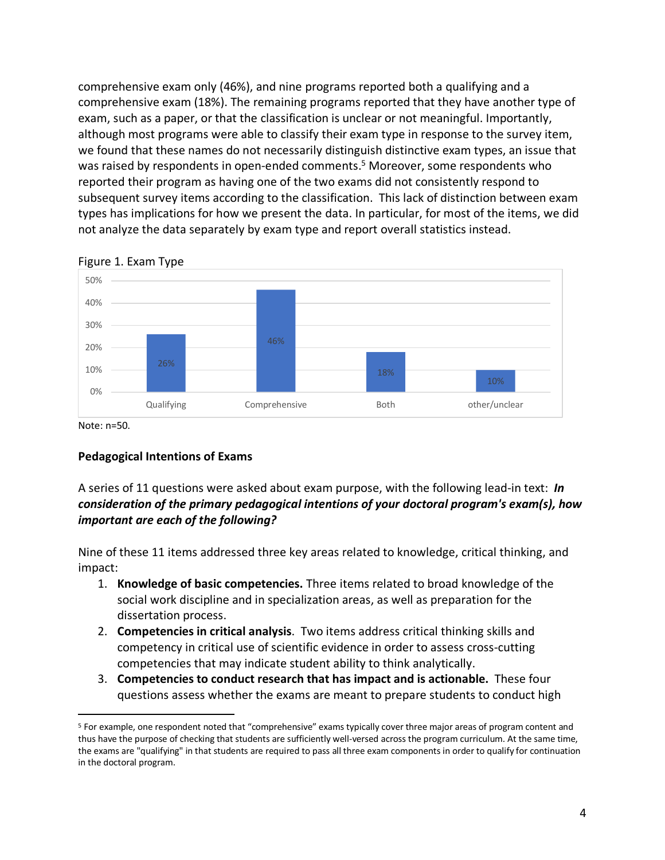comprehensive exam only (46%), and nine programs reported both a qualifying and a comprehensive exam (18%). The remaining programs reported that they have another type of exam, such as a paper, or that the classification is unclear or not meaningful. Importantly, although most programs were able to classify their exam type in response to the survey item, we found that these names do not necessarily distinguish distinctive exam types, an issue that was raised by respondents in open-ended comments.<sup>5</sup> Moreover, some respondents who reported their program as having one of the two exams did not consistently respond to subsequent survey items according to the classification. This lack of distinction between exam types has implications for how we present the data. In particular, for most of the items, we did not analyze the data separately by exam type and report overall statistics instead.



Figure 1. Exam Type

Note: n=50.

#### **Pedagogical Intentions of Exams**

A series of 11 questions were asked about exam purpose, with the following lead-in text: *In consideration of the primary pedagogical intentions of your doctoral program's exam(s), how important are each of the following?* 

Nine of these 11 items addressed three key areas related to knowledge, critical thinking, and impact:

- 1. **Knowledge of basic competencies.** Three items related to broad knowledge of the social work discipline and in specialization areas, as well as preparation for the dissertation process.
- 2. **Competencies in critical analysis**. Two items address critical thinking skills and competency in critical use of scientific evidence in order to assess cross-cutting competencies that may indicate student ability to think analytically.
- 3. **Competencies to conduct research that has impact and is actionable.** These four questions assess whether the exams are meant to prepare students to conduct high

 <sup>5</sup> For example, one respondent noted that "comprehensive" exams typically cover three major areas of program content and thus have the purpose of checking that students are sufficiently well-versed across the program curriculum. At the same time, the exams are "qualifying" in that students are required to pass all three exam components in order to qualify for continuation in the doctoral program.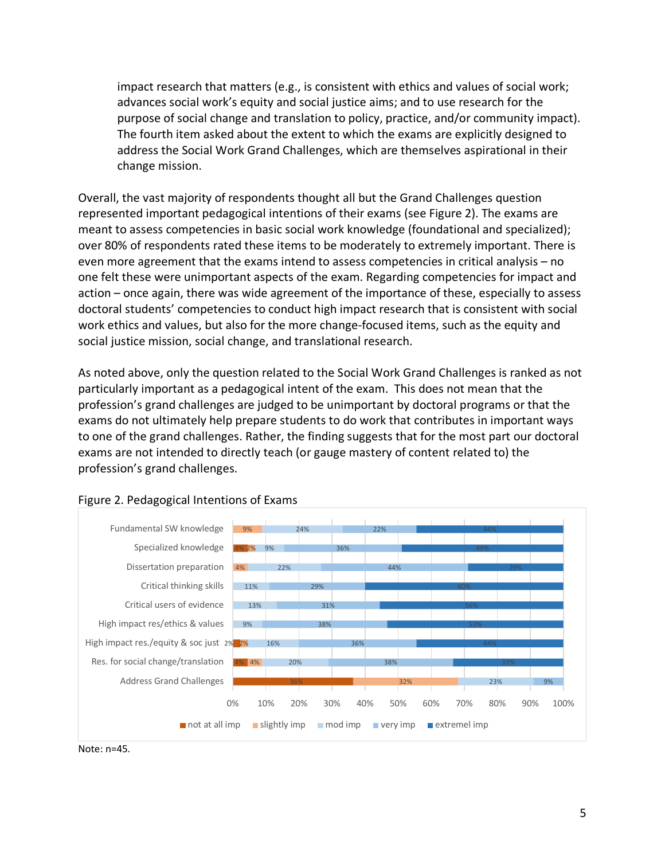impact research that matters (e.g., is consistent with ethics and values of social work; advances social work's equity and social justice aims; and to use research for the purpose of social change and translation to policy, practice, and/or community impact). The fourth item asked about the extent to which the exams are explicitly designed to address the Social Work Grand Challenges, which are themselves aspirational in their change mission.

Overall, the vast majority of respondents thought all but the Grand Challenges question represented important pedagogical intentions of their exams (see Figure 2). The exams are meant to assess competencies in basic social work knowledge (foundational and specialized); over 80% of respondents rated these items to be moderately to extremely important. There is even more agreement that the exams intend to assess competencies in critical analysis – no one felt these were unimportant aspects of the exam. Regarding competencies for impact and action – once again, there was wide agreement of the importance of these, especially to assess doctoral students' competencies to conduct high impact research that is consistent with social work ethics and values, but also for the more change-focused items, such as the equity and social justice mission, social change, and translational research.

As noted above, only the question related to the Social Work Grand Challenges is ranked as not particularly important as a pedagogical intent of the exam. This does not mean that the profession's grand challenges are judged to be unimportant by doctoral programs or that the exams do not ultimately help prepare students to do work that contributes in important ways to one of the grand challenges. Rather, the finding suggests that for the most part our doctoral exams are not intended to directly teach (or gauge mastery of content related to) the profession's grand challenges.



#### Figure 2. Pedagogical Intentions of Exams

Note: n=45.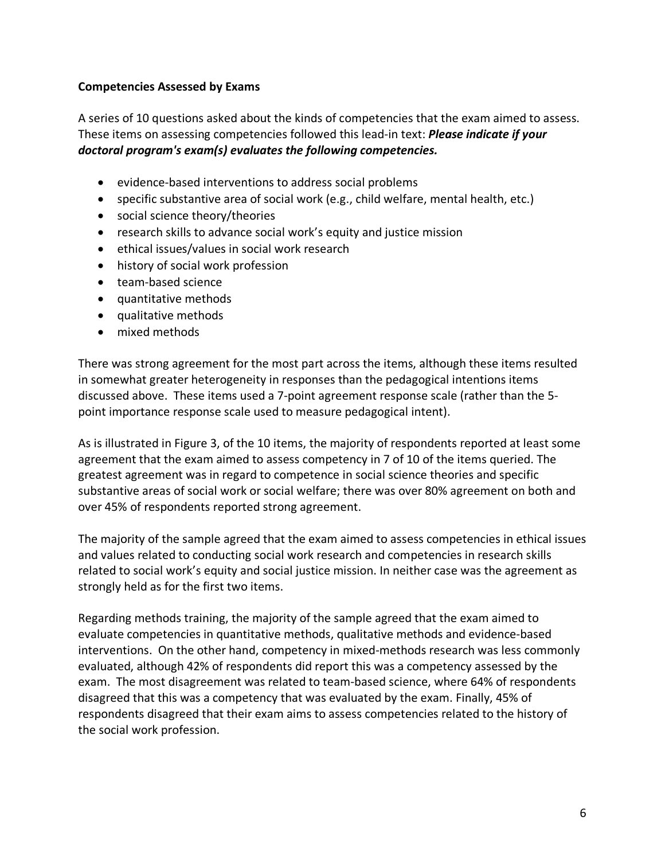#### **Competencies Assessed by Exams**

A series of 10 questions asked about the kinds of competencies that the exam aimed to assess. These items on assessing competencies followed this lead-in text: *Please indicate if your doctoral program's exam(s) evaluates the following competencies.* 

- evidence-based interventions to address social problems
- specific substantive area of social work (e.g., child welfare, mental health, etc.)
- social science theory/theories
- research skills to advance social work's equity and justice mission
- ethical issues/values in social work research
- history of social work profession
- team-based science
- quantitative methods
- qualitative methods
- mixed methods

There was strong agreement for the most part across the items, although these items resulted in somewhat greater heterogeneity in responses than the pedagogical intentions items discussed above. These items used a 7-point agreement response scale (rather than the 5 point importance response scale used to measure pedagogical intent).

As is illustrated in Figure 3, of the 10 items, the majority of respondents reported at least some agreement that the exam aimed to assess competency in 7 of 10 of the items queried. The greatest agreement was in regard to competence in social science theories and specific substantive areas of social work or social welfare; there was over 80% agreement on both and over 45% of respondents reported strong agreement.

The majority of the sample agreed that the exam aimed to assess competencies in ethical issues and values related to conducting social work research and competencies in research skills related to social work's equity and social justice mission. In neither case was the agreement as strongly held as for the first two items.

Regarding methods training, the majority of the sample agreed that the exam aimed to evaluate competencies in quantitative methods, qualitative methods and evidence-based interventions. On the other hand, competency in mixed-methods research was less commonly evaluated, although 42% of respondents did report this was a competency assessed by the exam. The most disagreement was related to team-based science, where 64% of respondents disagreed that this was a competency that was evaluated by the exam. Finally, 45% of respondents disagreed that their exam aims to assess competencies related to the history of the social work profession.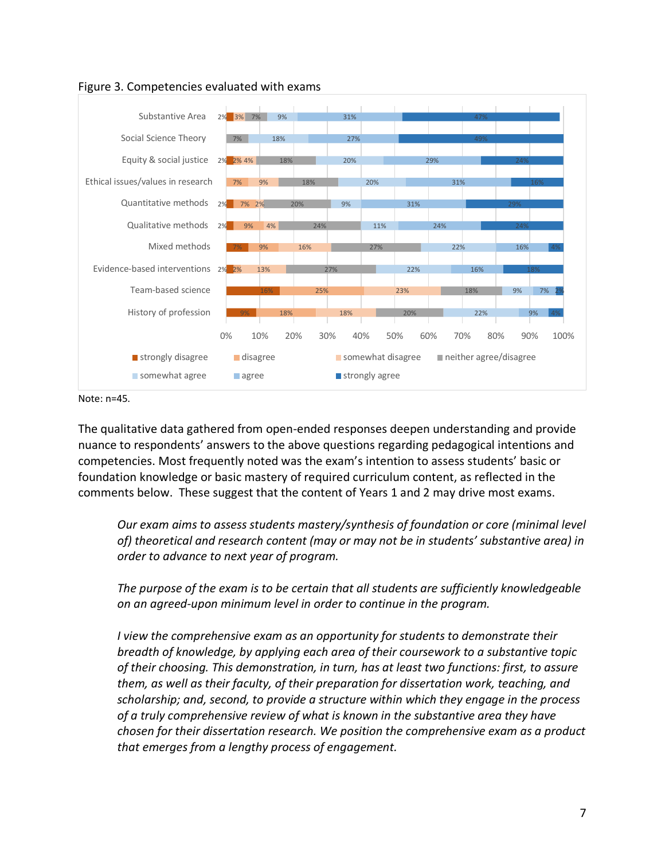

Figure 3. Competencies evaluated with exams

Note: n=45.

The qualitative data gathered from open-ended responses deepen understanding and provide nuance to respondents' answers to the above questions regarding pedagogical intentions and competencies. Most frequently noted was the exam's intention to assess students' basic or foundation knowledge or basic mastery of required curriculum content, as reflected in the comments below. These suggest that the content of Years 1 and 2 may drive most exams.

*Our exam aims to assess students mastery/synthesis of foundation or core (minimal level of) theoretical and research content (may or may not be in students' substantive area) in order to advance to next year of program.*

*The purpose of the exam is to be certain that all students are sufficiently knowledgeable on an agreed-upon minimum level in order to continue in the program.*

*I view the comprehensive exam as an opportunity for students to demonstrate their breadth of knowledge, by applying each area of their coursework to a substantive topic of their choosing. This demonstration, in turn, has at least two functions: first, to assure them, as well as their faculty, of their preparation for dissertation work, teaching, and scholarship; and, second, to provide a structure within which they engage in the process of a truly comprehensive review of what is known in the substantive area they have chosen for their dissertation research. We position the comprehensive exam as a product that emerges from a lengthy process of engagement.*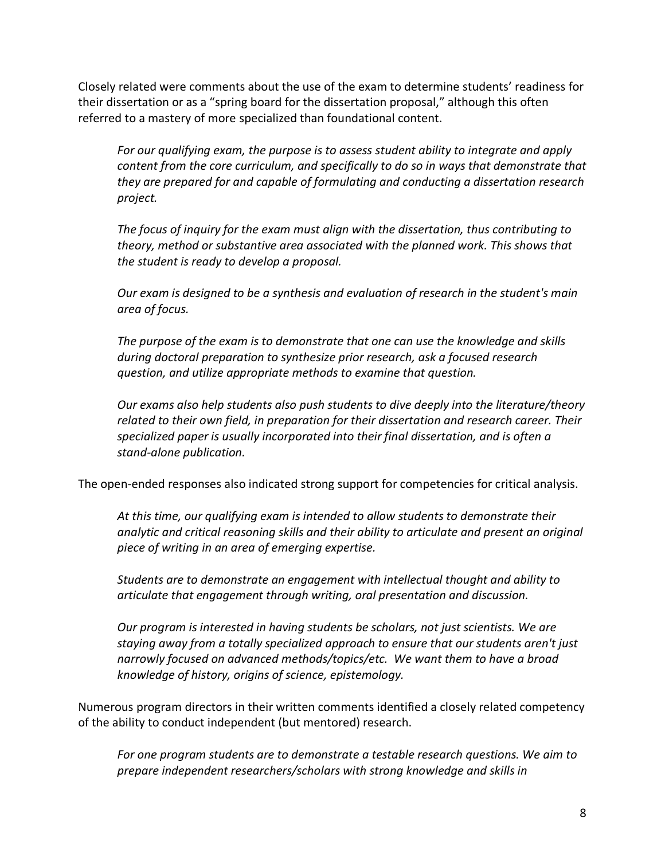Closely related were comments about the use of the exam to determine students' readiness for their dissertation or as a "spring board for the dissertation proposal," although this often referred to a mastery of more specialized than foundational content.

*For our qualifying exam, the purpose is to assess student ability to integrate and apply content from the core curriculum, and specifically to do so in ways that demonstrate that they are prepared for and capable of formulating and conducting a dissertation research project.*

*The focus of inquiry for the exam must align with the dissertation, thus contributing to theory, method or substantive area associated with the planned work. This shows that the student is ready to develop a proposal.* 

*Our exam is designed to be a synthesis and evaluation of research in the student's main area of focus.*

*The purpose of the exam is to demonstrate that one can use the knowledge and skills during doctoral preparation to synthesize prior research, ask a focused research question, and utilize appropriate methods to examine that question.* 

*Our exams also help students also push students to dive deeply into the literature/theory related to their own field, in preparation for their dissertation and research career. Their specialized paper is usually incorporated into their final dissertation, and is often a stand-alone publication.*

The open-ended responses also indicated strong support for competencies for critical analysis.

*At this time, our qualifying exam is intended to allow students to demonstrate their analytic and critical reasoning skills and their ability to articulate and present an original piece of writing in an area of emerging expertise.* 

*Students are to demonstrate an engagement with intellectual thought and ability to articulate that engagement through writing, oral presentation and discussion.*

*Our program is interested in having students be scholars, not just scientists. We are staying away from a totally specialized approach to ensure that our students aren't just narrowly focused on advanced methods/topics/etc. We want them to have a broad knowledge of history, origins of science, epistemology.*

Numerous program directors in their written comments identified a closely related competency of the ability to conduct independent (but mentored) research.

*For one program students are to demonstrate a testable research questions. We aim to prepare independent researchers/scholars with strong knowledge and skills in*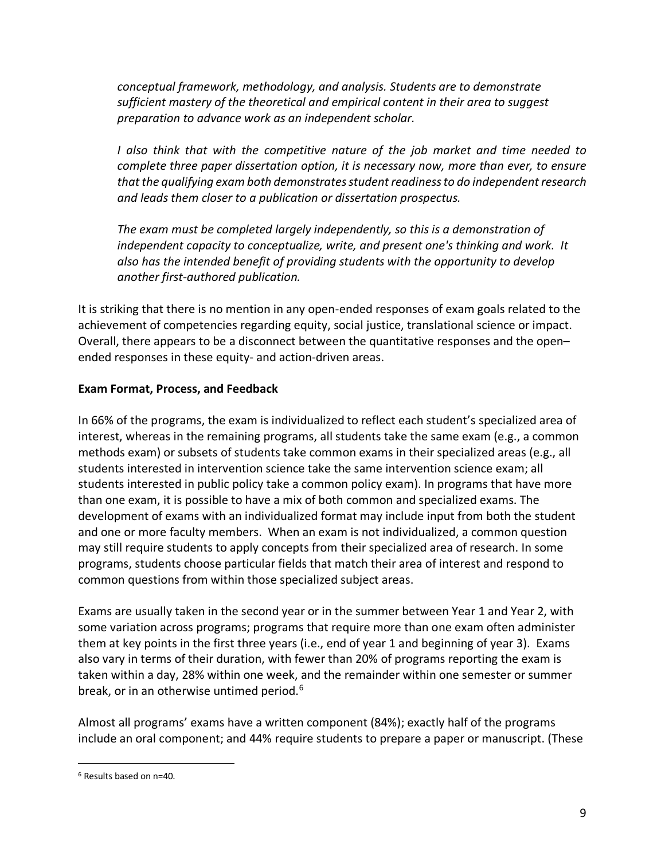*conceptual framework, methodology, and analysis. Students are to demonstrate sufficient mastery of the theoretical and empirical content in their area to suggest preparation to advance work as an independent scholar.*

*I also think that with the competitive nature of the job market and time needed to complete three paper dissertation option, it is necessary now, more than ever, to ensure that the qualifying exam both demonstrates student readiness to do independent research and leads them closer to a publication or dissertation prospectus.* 

*The exam must be completed largely independently, so this is a demonstration of independent capacity to conceptualize, write, and present one's thinking and work. It also has the intended benefit of providing students with the opportunity to develop another first-authored publication.*

It is striking that there is no mention in any open-ended responses of exam goals related to the achievement of competencies regarding equity, social justice, translational science or impact. Overall, there appears to be a disconnect between the quantitative responses and the open– ended responses in these equity- and action-driven areas.

#### **Exam Format, Process, and Feedback**

In 66% of the programs, the exam is individualized to reflect each student's specialized area of interest, whereas in the remaining programs, all students take the same exam (e.g., a common methods exam) or subsets of students take common exams in their specialized areas (e.g., all students interested in intervention science take the same intervention science exam; all students interested in public policy take a common policy exam). In programs that have more than one exam, it is possible to have a mix of both common and specialized exams. The development of exams with an individualized format may include input from both the student and one or more faculty members. When an exam is not individualized, a common question may still require students to apply concepts from their specialized area of research. In some programs, students choose particular fields that match their area of interest and respond to common questions from within those specialized subject areas.

Exams are usually taken in the second year or in the summer between Year 1 and Year 2, with some variation across programs; programs that require more than one exam often administer them at key points in the first three years (i.e., end of year 1 and beginning of year 3). Exams also vary in terms of their duration, with fewer than 20% of programs reporting the exam is taken within a day, 28% within one week, and the remainder within one semester or summer break, or in an otherwise untimed period.<sup>6</sup>

Almost all programs' exams have a written component (84%); exactly half of the programs include an oral component; and 44% require students to prepare a paper or manuscript. (These

 <sup>6</sup> Results based on n=40.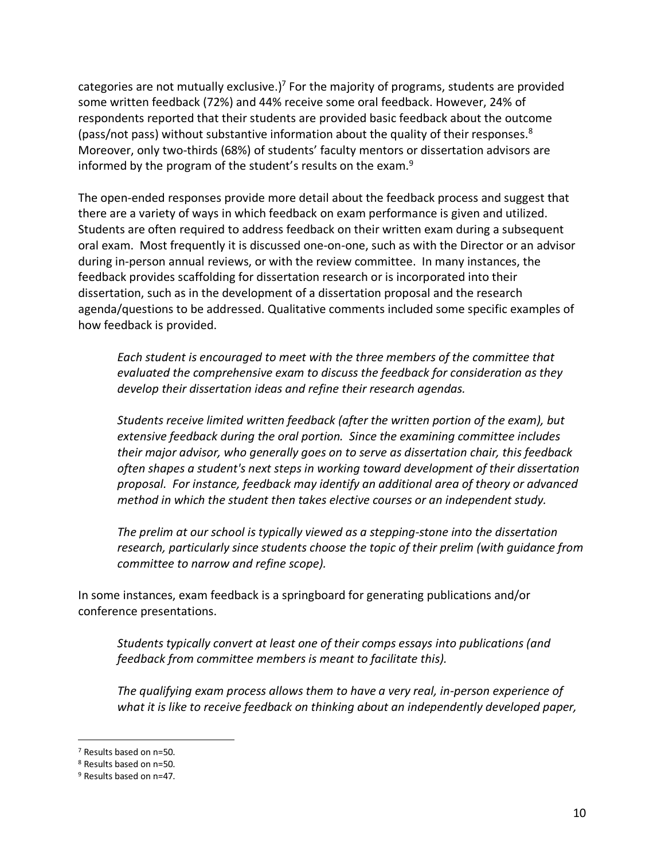categories are not mutually exclusive.)<sup>7</sup> For the majority of programs, students are provided some written feedback (72%) and 44% receive some oral feedback. However, 24% of respondents reported that their students are provided basic feedback about the outcome (pass/not pass) without substantive information about the quality of their responses.<sup>8</sup> Moreover, only two-thirds (68%) of students' faculty mentors or dissertation advisors are informed by the program of the student's results on the exam.<sup>9</sup>

The open-ended responses provide more detail about the feedback process and suggest that there are a variety of ways in which feedback on exam performance is given and utilized. Students are often required to address feedback on their written exam during a subsequent oral exam. Most frequently it is discussed one-on-one, such as with the Director or an advisor during in-person annual reviews, or with the review committee. In many instances, the feedback provides scaffolding for dissertation research or is incorporated into their dissertation, such as in the development of a dissertation proposal and the research agenda/questions to be addressed. Qualitative comments included some specific examples of how feedback is provided.

*Each student is encouraged to meet with the three members of the committee that evaluated the comprehensive exam to discuss the feedback for consideration as they develop their dissertation ideas and refine their research agendas.*

*Students receive limited written feedback (after the written portion of the exam), but extensive feedback during the oral portion. Since the examining committee includes their major advisor, who generally goes on to serve as dissertation chair, this feedback often shapes a student's next steps in working toward development of their dissertation proposal. For instance, feedback may identify an additional area of theory or advanced method in which the student then takes elective courses or an independent study.*

*The prelim at our school is typically viewed as a stepping-stone into the dissertation research, particularly since students choose the topic of their prelim (with guidance from committee to narrow and refine scope).* 

In some instances, exam feedback is a springboard for generating publications and/or conference presentations.

*Students typically convert at least one of their comps essays into publications (and feedback from committee members is meant to facilitate this).* 

*The qualifying exam process allows them to have a very real, in-person experience of what it is like to receive feedback on thinking about an independently developed paper,* 

 <sup>7</sup> Results based on n=50.

<sup>8</sup> Results based on n=50.

<sup>9</sup> Results based on n=47.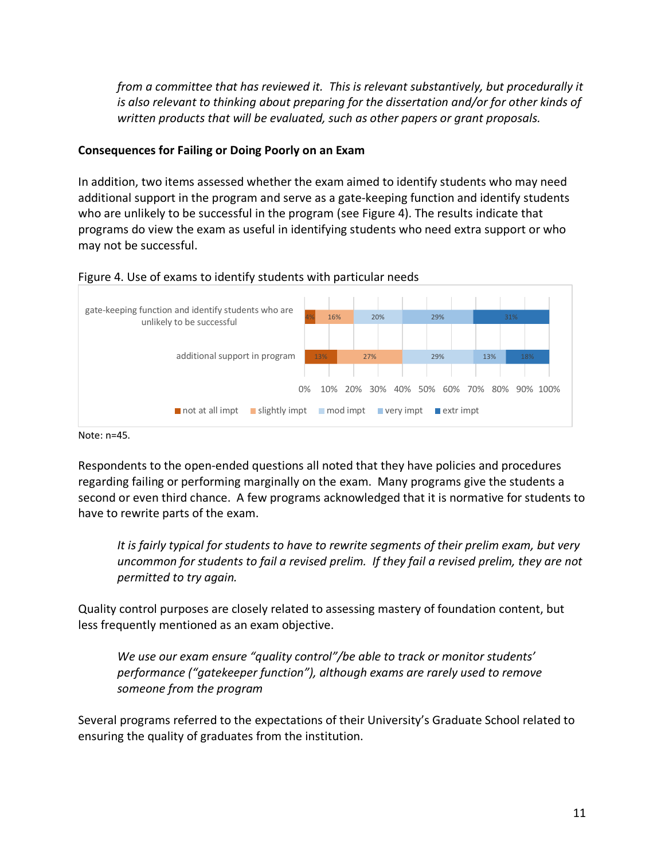*from a committee that has reviewed it. This is relevant substantively, but procedurally it is also relevant to thinking about preparing for the dissertation and/or for other kinds of written products that will be evaluated, such as other papers or grant proposals.*

#### **Consequences for Failing or Doing Poorly on an Exam**

In addition, two items assessed whether the exam aimed to identify students who may need additional support in the program and serve as a gate-keeping function and identify students who are unlikely to be successful in the program (see Figure 4). The results indicate that programs do view the exam as useful in identifying students who need extra support or who may not be successful.



#### Figure 4. Use of exams to identify students with particular needs

Note: n=45.

Respondents to the open-ended questions all noted that they have policies and procedures regarding failing or performing marginally on the exam. Many programs give the students a second or even third chance. A few programs acknowledged that it is normative for students to have to rewrite parts of the exam.

*It is fairly typical for students to have to rewrite segments of their prelim exam, but very uncommon for students to fail a revised prelim. If they fail a revised prelim, they are not permitted to try again.* 

Quality control purposes are closely related to assessing mastery of foundation content, but less frequently mentioned as an exam objective.

*We use our exam ensure "quality control"/be able to track or monitor students' performance ("gatekeeper function"), although exams are rarely used to remove someone from the program*

Several programs referred to the expectations of their University's Graduate School related to ensuring the quality of graduates from the institution.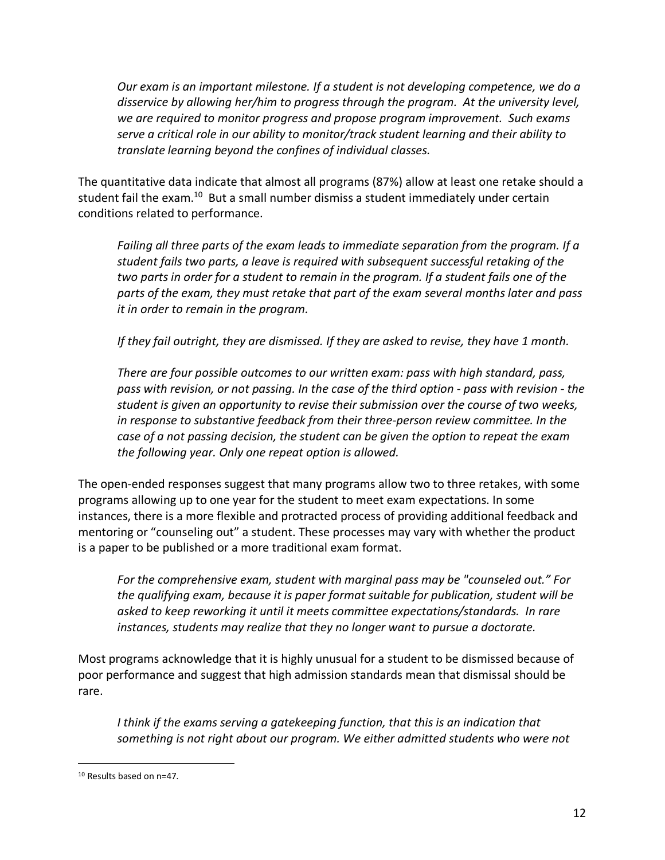*Our exam is an important milestone. If a student is not developing competence, we do a disservice by allowing her/him to progress through the program. At the university level, we are required to monitor progress and propose program improvement. Such exams serve a critical role in our ability to monitor/track student learning and their ability to translate learning beyond the confines of individual classes.* 

The quantitative data indicate that almost all programs (87%) allow at least one retake should a student fail the exam.<sup>10</sup> But a small number dismiss a student immediately under certain conditions related to performance.

*Failing all three parts of the exam leads to immediate separation from the program. If a student fails two parts, a leave is required with subsequent successful retaking of the two parts in order for a student to remain in the program. If a student fails one of the parts of the exam, they must retake that part of the exam several months later and pass it in order to remain in the program.* 

*If they fail outright, they are dismissed. If they are asked to revise, they have 1 month.* 

*There are four possible outcomes to our written exam: pass with high standard, pass, pass with revision, or not passing. In the case of the third option - pass with revision - the student is given an opportunity to revise their submission over the course of two weeks,*  in response to substantive feedback from their three-person review committee. In the *case of a not passing decision, the student can be given the option to repeat the exam the following year. Only one repeat option is allowed.* 

The open-ended responses suggest that many programs allow two to three retakes, with some programs allowing up to one year for the student to meet exam expectations. In some instances, there is a more flexible and protracted process of providing additional feedback and mentoring or "counseling out" a student. These processes may vary with whether the product is a paper to be published or a more traditional exam format.

*For the comprehensive exam, student with marginal pass may be "counseled out." For the qualifying exam, because it is paper format suitable for publication, student will be asked to keep reworking it until it meets committee expectations/standards. In rare instances, students may realize that they no longer want to pursue a doctorate.*

Most programs acknowledge that it is highly unusual for a student to be dismissed because of poor performance and suggest that high admission standards mean that dismissal should be rare.

*I think if the exams serving a gatekeeping function, that this is an indication that something is not right about our program. We either admitted students who were not* 

 <sup>10</sup> Results based on n=47.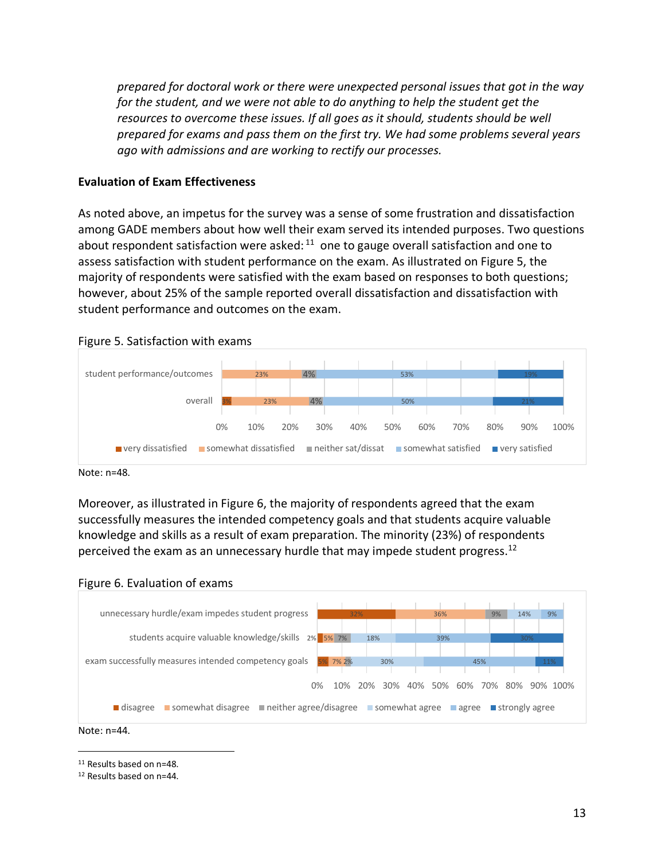*prepared for doctoral work or there were unexpected personal issues that got in the way for the student, and we were not able to do anything to help the student get the resources to overcome these issues. If all goes as it should, students should be well prepared for exams and pass them on the first try. We had some problems several years ago with admissions and are working to rectify our processes.*

#### **Evaluation of Exam Effectiveness**

As noted above, an impetus for the survey was a sense of some frustration and dissatisfaction among GADE members about how well their exam served its intended purposes. Two questions about respondent satisfaction were asked:  $11$  one to gauge overall satisfaction and one to assess satisfaction with student performance on the exam. As illustrated on Figure 5, the majority of respondents were satisfied with the exam based on responses to both questions; however, about 25% of the sample reported overall dissatisfaction and dissatisfaction with student performance and outcomes on the exam.





Moreover, as illustrated in Figure 6, the majority of respondents agreed that the exam successfully measures the intended competency goals and that students acquire valuable knowledge and skills as a result of exam preparation. The minority (23%) of respondents perceived the exam as an unnecessary hurdle that may impede student progress.<sup>12</sup>





Note: n=44.

11 Results based on n=48.

<sup>12</sup> Results based on n=44.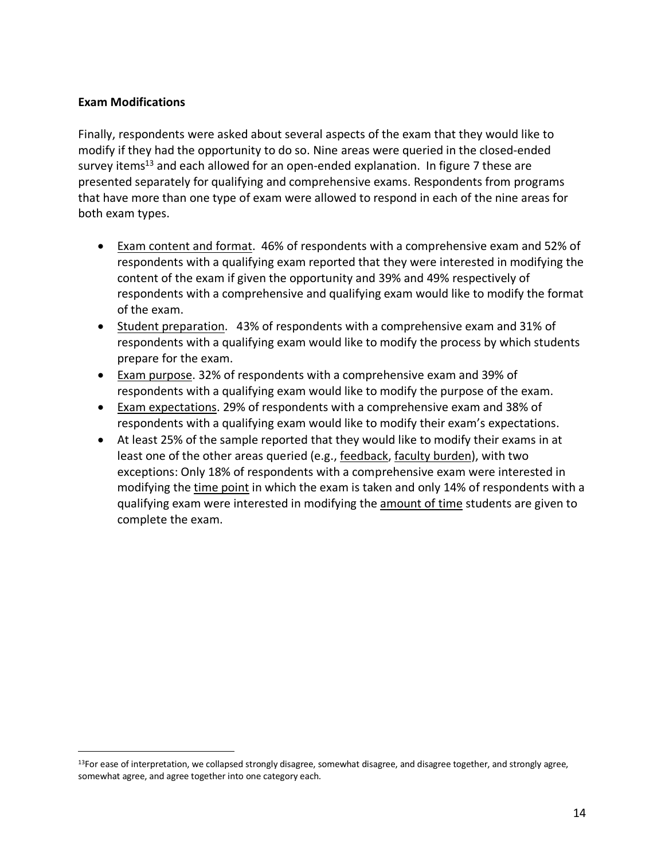#### **Exam Modifications**

Finally, respondents were asked about several aspects of the exam that they would like to modify if they had the opportunity to do so. Nine areas were queried in the closed-ended survey items<sup>13</sup> and each allowed for an open-ended explanation. In figure 7 these are presented separately for qualifying and comprehensive exams. Respondents from programs that have more than one type of exam were allowed to respond in each of the nine areas for both exam types.

- Exam content and format. 46% of respondents with a comprehensive exam and 52% of respondents with a qualifying exam reported that they were interested in modifying the content of the exam if given the opportunity and 39% and 49% respectively of respondents with a comprehensive and qualifying exam would like to modify the format of the exam.
- Student preparation. 43% of respondents with a comprehensive exam and 31% of respondents with a qualifying exam would like to modify the process by which students prepare for the exam.
- Exam purpose. 32% of respondents with a comprehensive exam and 39% of respondents with a qualifying exam would like to modify the purpose of the exam.
- Exam expectations. 29% of respondents with a comprehensive exam and 38% of respondents with a qualifying exam would like to modify their exam's expectations.
- At least 25% of the sample reported that they would like to modify their exams in at least one of the other areas queried (e.g., feedback, faculty burden), with two exceptions: Only 18% of respondents with a comprehensive exam were interested in modifying the time point in which the exam is taken and only 14% of respondents with a qualifying exam were interested in modifying the amount of time students are given to complete the exam.

<sup>&</sup>lt;sup>13</sup>For ease of interpretation, we collapsed strongly disagree, somewhat disagree, and disagree together, and strongly agree, somewhat agree, and agree together into one category each.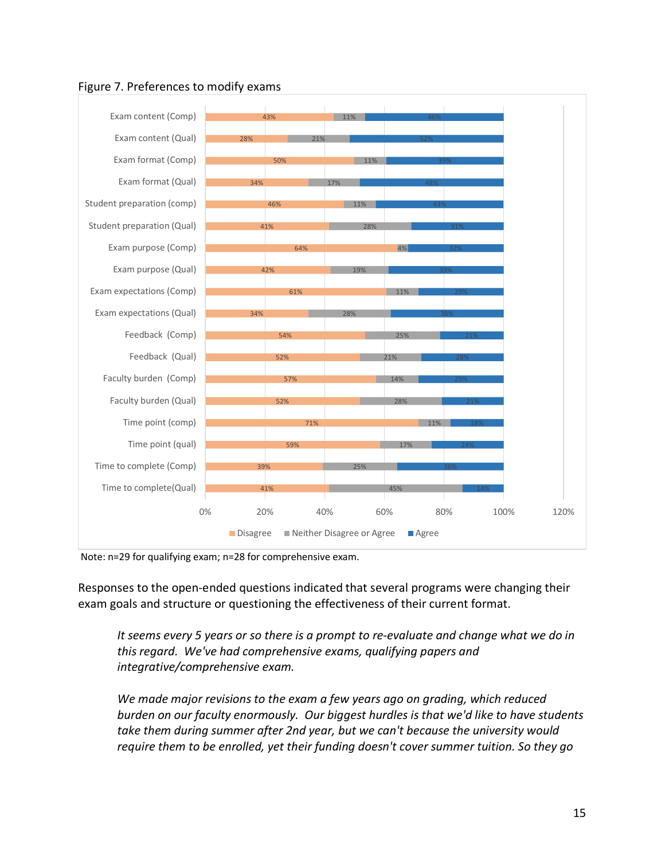

### Figure 7. Preferences to modify exams

Note: n=29 for qualifying exam; n=28 for comprehensive exam.

Responses to the open-ended questions indicated that several programs were changing their exam goals and structure or questioning the effectiveness of their current format.

*It seems every 5 years or so there is a prompt to re-evaluate and change what we do in this regard. We've had comprehensive exams, qualifying papers and integrative/comprehensive exam.* 

*We made major revisions to the exam a few years ago on grading, which reduced burden on our faculty enormously. Our biggest hurdles is that we'd like to have students take them during summer after 2nd year, but we can't because the university would require them to be enrolled, yet their funding doesn't cover summer tuition. So they go*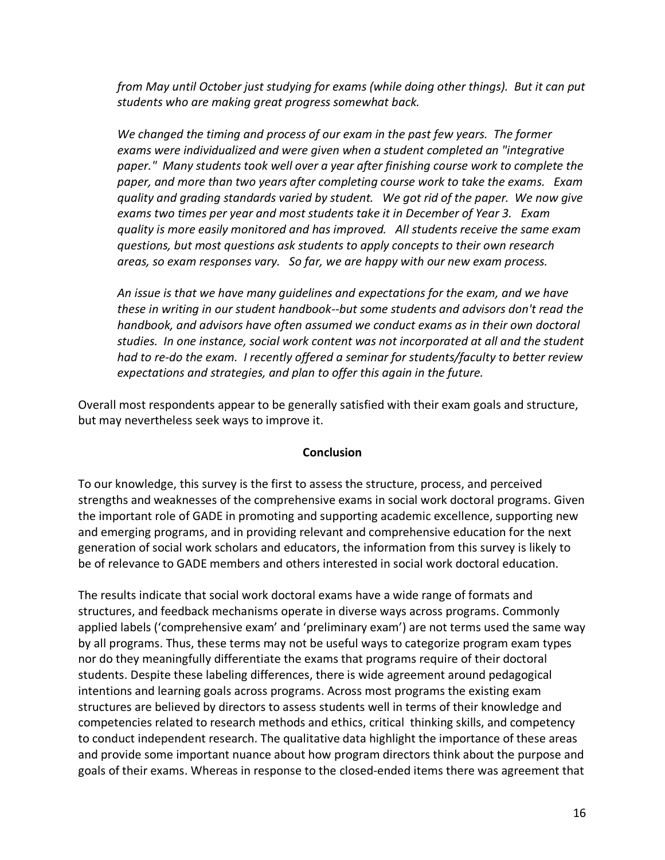*from May until October just studying for exams (while doing other things). But it can put students who are making great progress somewhat back.* 

*We changed the timing and process of our exam in the past few years. The former exams were individualized and were given when a student completed an "integrative paper." Many students took well over a year after finishing course work to complete the paper, and more than two years after completing course work to take the exams. Exam quality and grading standards varied by student. We got rid of the paper. We now give exams two times per year and most students take it in December of Year 3. Exam quality is more easily monitored and has improved. All students receive the same exam questions, but most questions ask students to apply concepts to their own research areas, so exam responses vary. So far, we are happy with our new exam process.* 

*An issue is that we have many guidelines and expectations for the exam, and we have these in writing in our student handbook--but some students and advisors don't read the handbook, and advisors have often assumed we conduct exams as in their own doctoral studies. In one instance, social work content was not incorporated at all and the student had to re-do the exam. I recently offered a seminar for students/faculty to better review expectations and strategies, and plan to offer this again in the future.* 

Overall most respondents appear to be generally satisfied with their exam goals and structure, but may nevertheless seek ways to improve it.

#### **Conclusion**

To our knowledge, this survey is the first to assess the structure, process, and perceived strengths and weaknesses of the comprehensive exams in social work doctoral programs. Given the important role of GADE in promoting and supporting academic excellence, supporting new and emerging programs, and in providing relevant and comprehensive education for the next generation of social work scholars and educators, the information from this survey is likely to be of relevance to GADE members and others interested in social work doctoral education.

The results indicate that social work doctoral exams have a wide range of formats and structures, and feedback mechanisms operate in diverse ways across programs. Commonly applied labels ('comprehensive exam' and 'preliminary exam') are not terms used the same way by all programs. Thus, these terms may not be useful ways to categorize program exam types nor do they meaningfully differentiate the exams that programs require of their doctoral students. Despite these labeling differences, there is wide agreement around pedagogical intentions and learning goals across programs. Across most programs the existing exam structures are believed by directors to assess students well in terms of their knowledge and competencies related to research methods and ethics, critical thinking skills, and competency to conduct independent research. The qualitative data highlight the importance of these areas and provide some important nuance about how program directors think about the purpose and goals of their exams. Whereas in response to the closed-ended items there was agreement that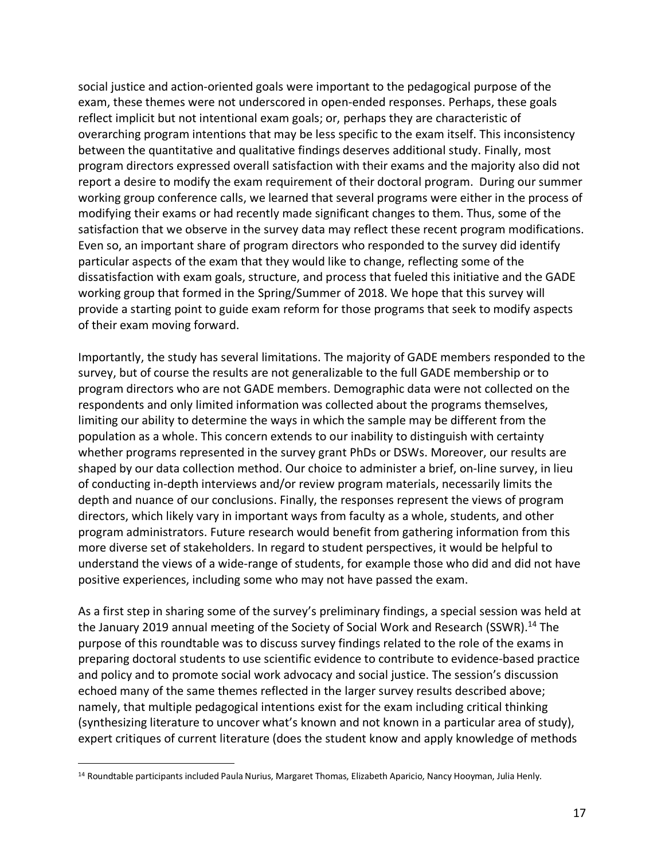social justice and action-oriented goals were important to the pedagogical purpose of the exam, these themes were not underscored in open-ended responses. Perhaps, these goals reflect implicit but not intentional exam goals; or, perhaps they are characteristic of overarching program intentions that may be less specific to the exam itself. This inconsistency between the quantitative and qualitative findings deserves additional study. Finally, most program directors expressed overall satisfaction with their exams and the majority also did not report a desire to modify the exam requirement of their doctoral program. During our summer working group conference calls, we learned that several programs were either in the process of modifying their exams or had recently made significant changes to them. Thus, some of the satisfaction that we observe in the survey data may reflect these recent program modifications. Even so, an important share of program directors who responded to the survey did identify particular aspects of the exam that they would like to change, reflecting some of the dissatisfaction with exam goals, structure, and process that fueled this initiative and the GADE working group that formed in the Spring/Summer of 2018. We hope that this survey will provide a starting point to guide exam reform for those programs that seek to modify aspects of their exam moving forward.

Importantly, the study has several limitations. The majority of GADE members responded to the survey, but of course the results are not generalizable to the full GADE membership or to program directors who are not GADE members. Demographic data were not collected on the respondents and only limited information was collected about the programs themselves, limiting our ability to determine the ways in which the sample may be different from the population as a whole. This concern extends to our inability to distinguish with certainty whether programs represented in the survey grant PhDs or DSWs. Moreover, our results are shaped by our data collection method. Our choice to administer a brief, on-line survey, in lieu of conducting in-depth interviews and/or review program materials, necessarily limits the depth and nuance of our conclusions. Finally, the responses represent the views of program directors, which likely vary in important ways from faculty as a whole, students, and other program administrators. Future research would benefit from gathering information from this more diverse set of stakeholders. In regard to student perspectives, it would be helpful to understand the views of a wide-range of students, for example those who did and did not have positive experiences, including some who may not have passed the exam.

As a first step in sharing some of the survey's preliminary findings, a special session was held at the January 2019 annual meeting of the Society of Social Work and Research (SSWR).<sup>14</sup> The purpose of this roundtable was to discuss survey findings related to the role of the exams in preparing doctoral students to use scientific evidence to contribute to evidence-based practice and policy and to promote social work advocacy and social justice. The session's discussion echoed many of the same themes reflected in the larger survey results described above; namely, that multiple pedagogical intentions exist for the exam including critical thinking (synthesizing literature to uncover what's known and not known in a particular area of study), expert critiques of current literature (does the student know and apply knowledge of methods

 <sup>14</sup> Roundtable participants included Paula Nurius, Margaret Thomas, Elizabeth Aparicio, Nancy Hooyman, Julia Henly.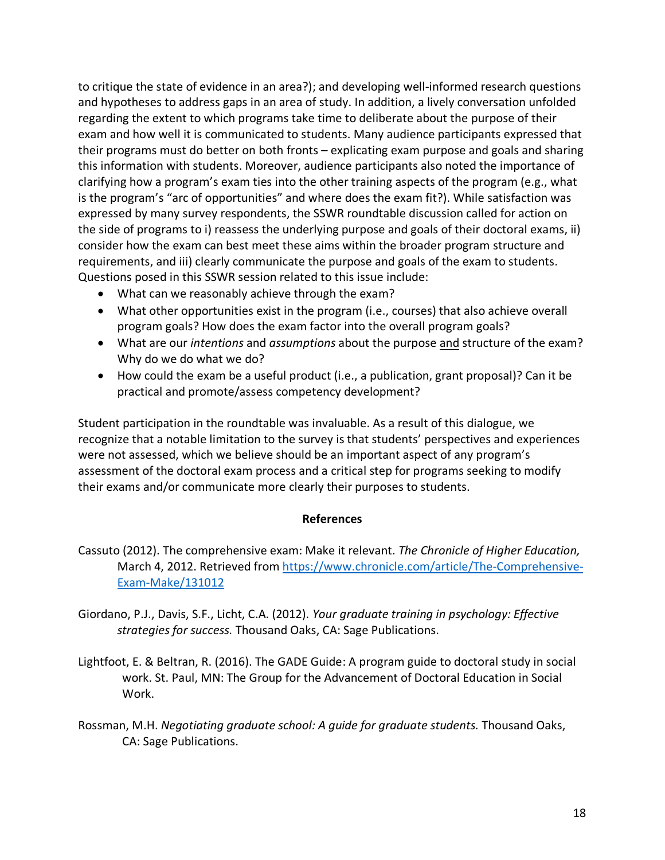to critique the state of evidence in an area?); and developing well-informed research questions and hypotheses to address gaps in an area of study. In addition, a lively conversation unfolded regarding the extent to which programs take time to deliberate about the purpose of their exam and how well it is communicated to students. Many audience participants expressed that their programs must do better on both fronts – explicating exam purpose and goals and sharing this information with students. Moreover, audience participants also noted the importance of clarifying how a program's exam ties into the other training aspects of the program (e.g., what is the program's "arc of opportunities" and where does the exam fit?). While satisfaction was expressed by many survey respondents, the SSWR roundtable discussion called for action on the side of programs to i) reassess the underlying purpose and goals of their doctoral exams, ii) consider how the exam can best meet these aims within the broader program structure and requirements, and iii) clearly communicate the purpose and goals of the exam to students. Questions posed in this SSWR session related to this issue include:

- What can we reasonably achieve through the exam?
- What other opportunities exist in the program (i.e., courses) that also achieve overall program goals? How does the exam factor into the overall program goals?
- What are our *intentions* and *assumptions* about the purpose and structure of the exam? Why do we do what we do?
- How could the exam be a useful product (i.e., a publication, grant proposal)? Can it be practical and promote/assess competency development?

Student participation in the roundtable was invaluable. As a result of this dialogue, we recognize that a notable limitation to the survey is that students' perspectives and experiences were not assessed, which we believe should be an important aspect of any program's assessment of the doctoral exam process and a critical step for programs seeking to modify their exams and/or communicate more clearly their purposes to students.

#### **References**

- Cassuto (2012). The comprehensive exam: Make it relevant. *The Chronicle of Higher Education,* March 4, 2012. Retrieved from https://www.chronicle.com/article/The-Comprehensive-Exam-Make/131012
- Giordano, P.J., Davis, S.F., Licht, C.A. (2012). *Your graduate training in psychology: Effective strategies for success.* Thousand Oaks, CA: Sage Publications.
- Lightfoot, E. & Beltran, R. (2016). The GADE Guide: A program guide to doctoral study in social work. St. Paul, MN: The Group for the Advancement of Doctoral Education in Social Work.
- Rossman, M.H. *Negotiating graduate school: A guide for graduate students.* Thousand Oaks, CA: Sage Publications.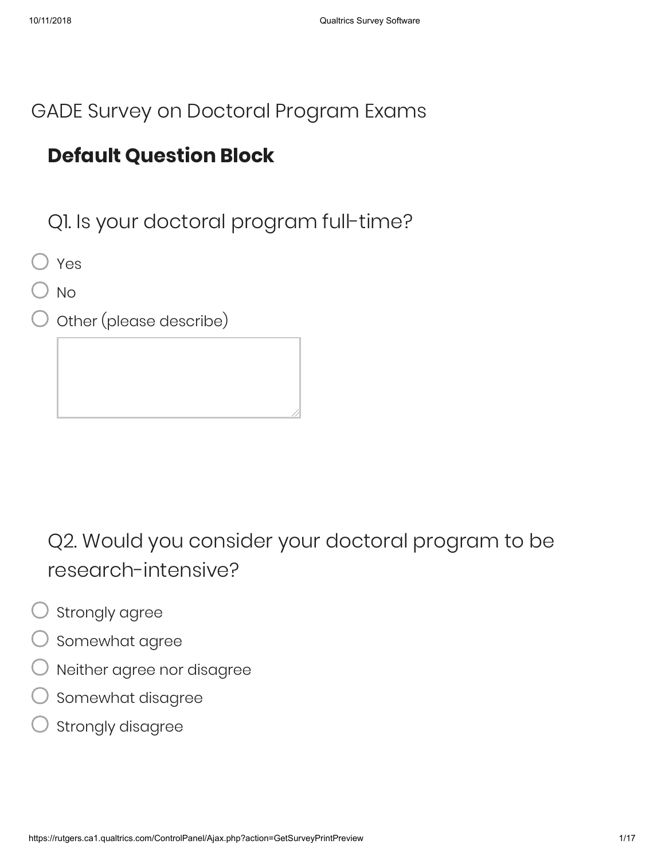### GADE Survey on Doctoral Program Exams

## **Default Question Block**

Q1. Is your doctoral program full-time?

Yes

No

Other (please describe)

Q2. Would you consider your doctoral program to be research-intensive?

- Strongly agree
- Somewhat agree
- Neither agree nor disagree
- Somewhat disagree
- Strongly disagree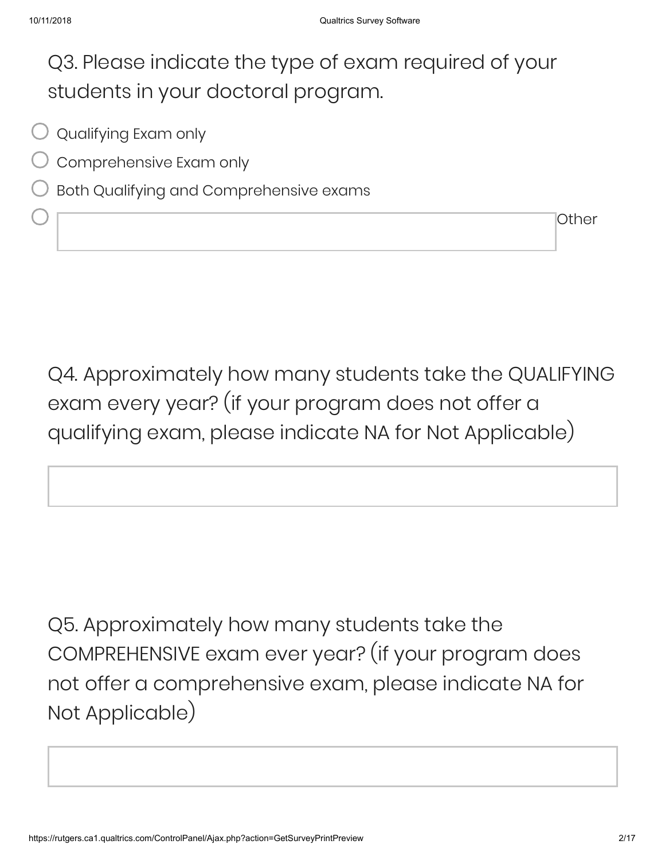## Q3. Please indicate the type of exam required of your students in your doctoral program.

- $\bigcirc$  Qualifying Exam only
- Comprehensive Exam only
- Both Qualifying and Comprehensive exams

Q4. Approximately how many students take the QUALIFYING exam every year? (if your program does not offer a qualifying exam, please indicate NA for Not Applicable)

Q5. Approximately how many students take the COMPREHENSIVE exam ever year? (if your program does not offer a comprehensive exam, please indicate NA for Not Applicable)

Other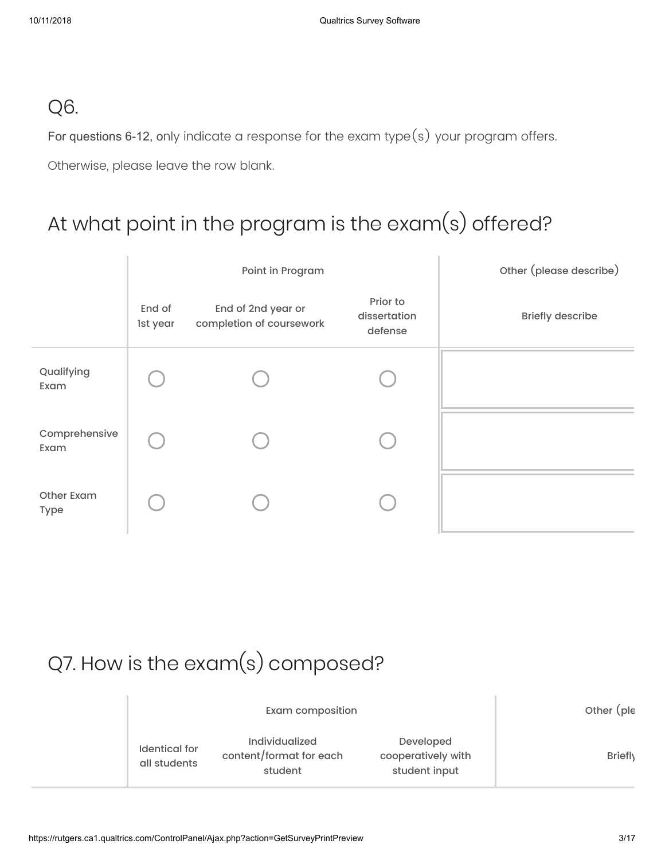### Q6.

For questions 6-12, only indicate a response for the exam type(s) your program offers.

Otherwise, please leave the row blank.

## At what point in the program is the exam(s) offered?

|                           |                    | Point in Program                               | Other (please describe)             |                         |
|---------------------------|--------------------|------------------------------------------------|-------------------------------------|-------------------------|
|                           | End of<br>1st year | End of 2nd year or<br>completion of coursework | Prior to<br>dissertation<br>defense | <b>Briefly describe</b> |
| Qualifying<br>Exam        |                    |                                                |                                     |                         |
| Comprehensive<br>Exam     |                    |                                                |                                     |                         |
| Other Exam<br><b>Type</b> |                    |                                                |                                     |                         |

# Q7. How is the exam(s) composed?

|                                      | Other (ple                                                  |                                                  |                |
|--------------------------------------|-------------------------------------------------------------|--------------------------------------------------|----------------|
| <b>Identical</b> for<br>all students | <b>Individualized</b><br>content/format for each<br>student | Developed<br>cooperatively with<br>student input | <b>Briefly</b> |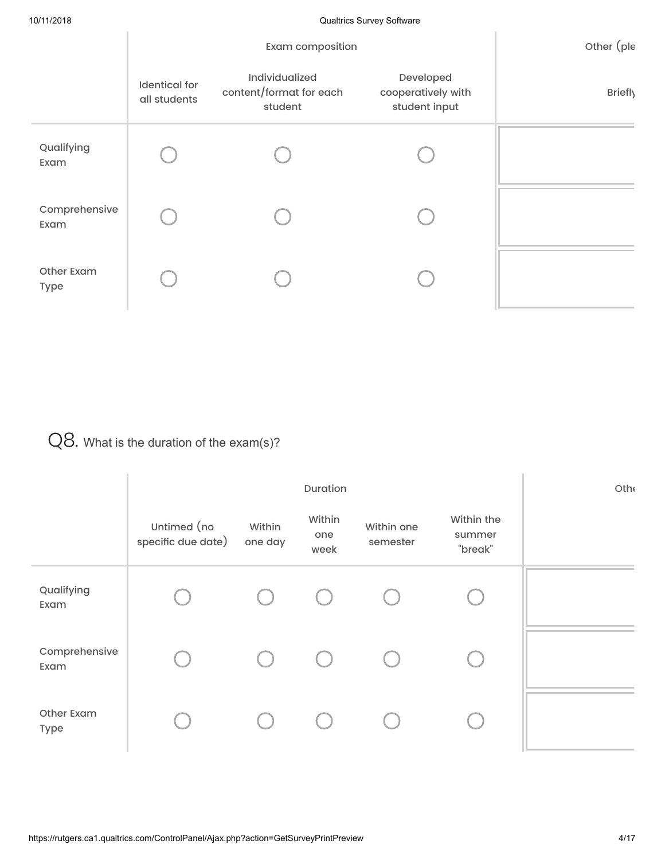|                           |                                      | Other (ple                                           |                                                  |         |
|---------------------------|--------------------------------------|------------------------------------------------------|--------------------------------------------------|---------|
|                           | <b>Identical</b> for<br>all students | Individualized<br>content/format for each<br>student | Developed<br>cooperatively with<br>student input | Briefly |
| Qualifying<br>Exam        |                                      |                                                      |                                                  |         |
| Comprehensive<br>Exam     |                                      |                                                      |                                                  |         |
| Other Exam<br><b>Type</b> |                                      |                                                      |                                                  |         |

### Q8. What is the duration of the exam(s)?

|                       |                                   | Othe              |                       |                        |                                 |  |
|-----------------------|-----------------------------------|-------------------|-----------------------|------------------------|---------------------------------|--|
|                       | Untimed (no<br>specific due date) | Within<br>one day | Within<br>one<br>week | Within one<br>semester | Within the<br>summer<br>"break" |  |
| Qualifying<br>Exam    |                                   |                   |                       |                        |                                 |  |
| Comprehensive<br>Exam |                                   |                   |                       |                        |                                 |  |
| Other Exam<br>Type    |                                   |                   |                       |                        |                                 |  |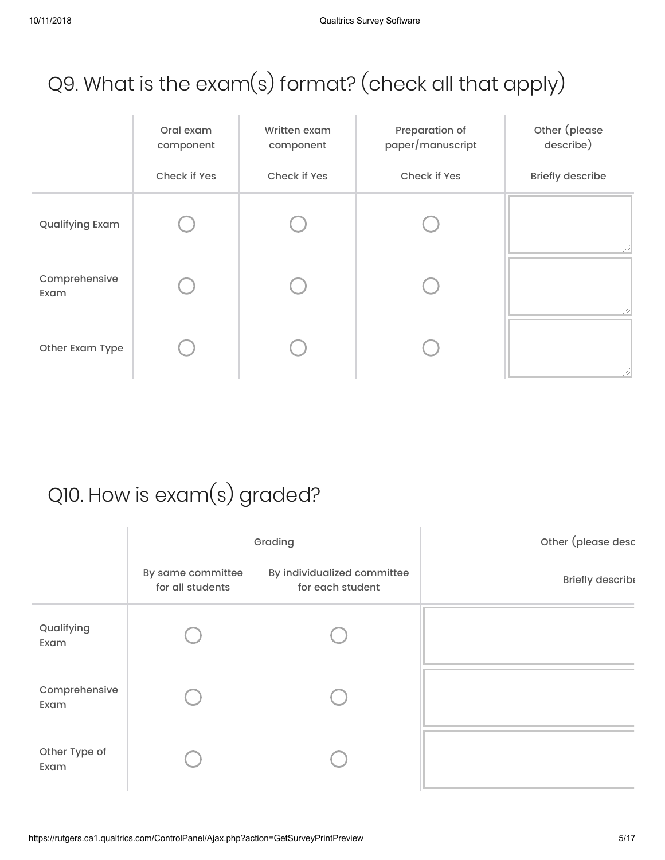# Q9. What is the exam(s) format? (check all that apply)

|                       | Oral exam<br>component | Written exam<br>component | Preparation of<br>paper/manuscript | Other (please<br>describe) |
|-----------------------|------------------------|---------------------------|------------------------------------|----------------------------|
|                       | Check if Yes           | Check if Yes              | Check if Yes                       | <b>Briefly describe</b>    |
| Qualifying Exam       |                        |                           |                                    |                            |
| Comprehensive<br>Exam |                        |                           |                                    |                            |
| Other Exam Type       |                        |                           |                                    |                            |

# Q10. How is exam(s) graded?

|                       |                                       | Grading                                         | Other (please desc |
|-----------------------|---------------------------------------|-------------------------------------------------|--------------------|
|                       | By same committee<br>for all students | By individualized committee<br>for each student | Briefly describe   |
| Qualifying<br>Exam    |                                       |                                                 |                    |
| Comprehensive<br>Exam |                                       |                                                 |                    |
| Other Type of<br>Exam |                                       |                                                 |                    |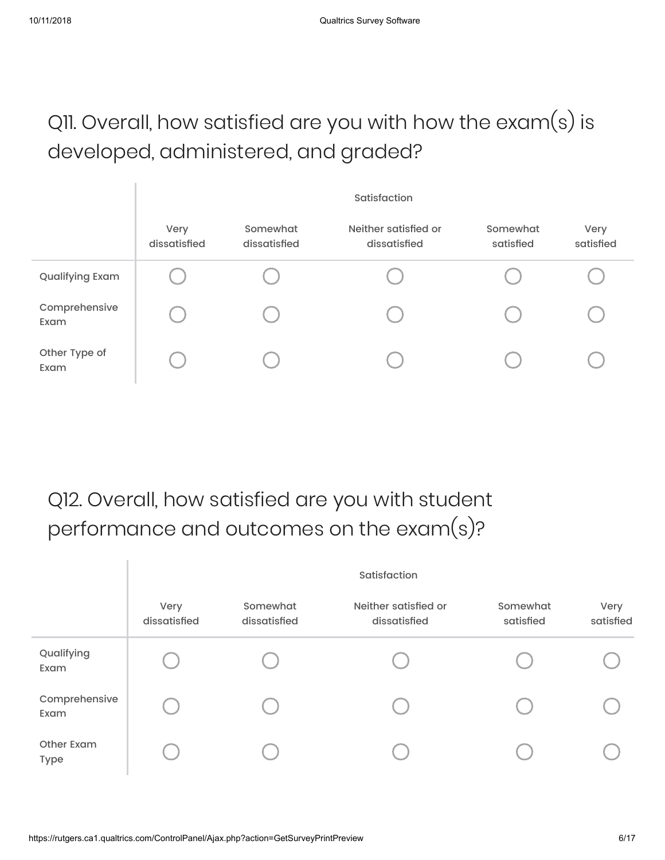# Q11. Overall, how satisfied are you with how the exam(s) is developed, administered, and graded?

|                       | Satisfaction         |                          |                                      |                       |                   |  |  |  |
|-----------------------|----------------------|--------------------------|--------------------------------------|-----------------------|-------------------|--|--|--|
|                       | Very<br>dissatisfied | Somewhat<br>dissatisfied | Neither satisfied or<br>dissatisfied | Somewhat<br>satisfied | Very<br>satisfied |  |  |  |
| Qualifying Exam       |                      |                          |                                      |                       |                   |  |  |  |
| Comprehensive<br>Exam |                      |                          |                                      |                       |                   |  |  |  |
| Other Type of<br>Exam |                      |                          |                                      |                       |                   |  |  |  |

## Q12. Overall, how satisfied are you with student performance and outcomes on the exam(s)?

|                           | Satisfaction         |                          |                                      |                       |                   |  |  |
|---------------------------|----------------------|--------------------------|--------------------------------------|-----------------------|-------------------|--|--|
|                           | Very<br>dissatisfied | Somewhat<br>dissatisfied | Neither satisfied or<br>dissatisfied | Somewhat<br>satisfied | Very<br>satisfied |  |  |
| Qualifying<br>Exam        |                      |                          |                                      |                       |                   |  |  |
| Comprehensive<br>Exam     |                      |                          |                                      |                       |                   |  |  |
| <b>Other Exam</b><br>Type |                      |                          |                                      |                       |                   |  |  |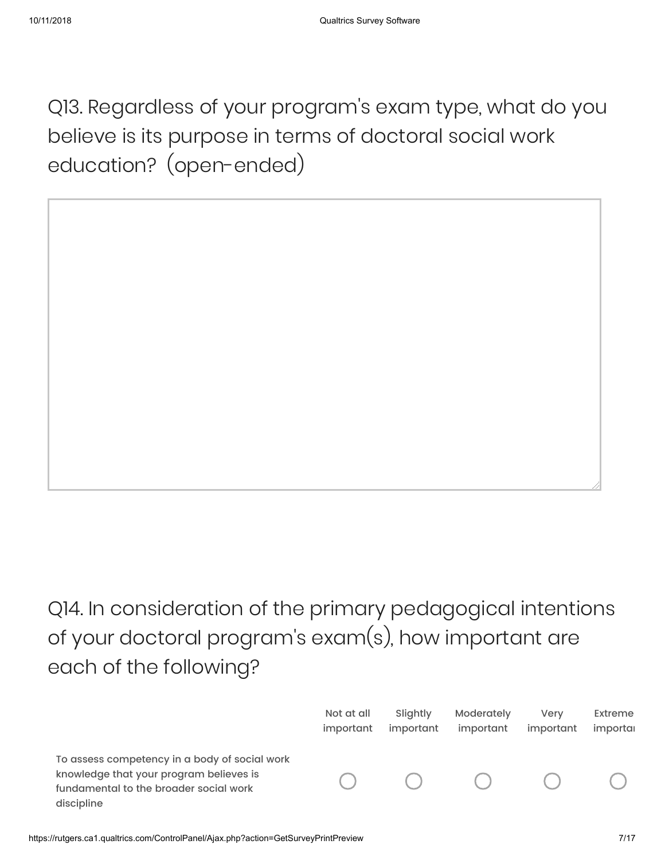Q13. Regardless of your program's exam type, what do you believe is its purpose in terms of doctoral social work education? (open-ended)

Q14. In consideration of the primary pedagogical intentions of your doctoral program's exam(s), how important are each of the following?

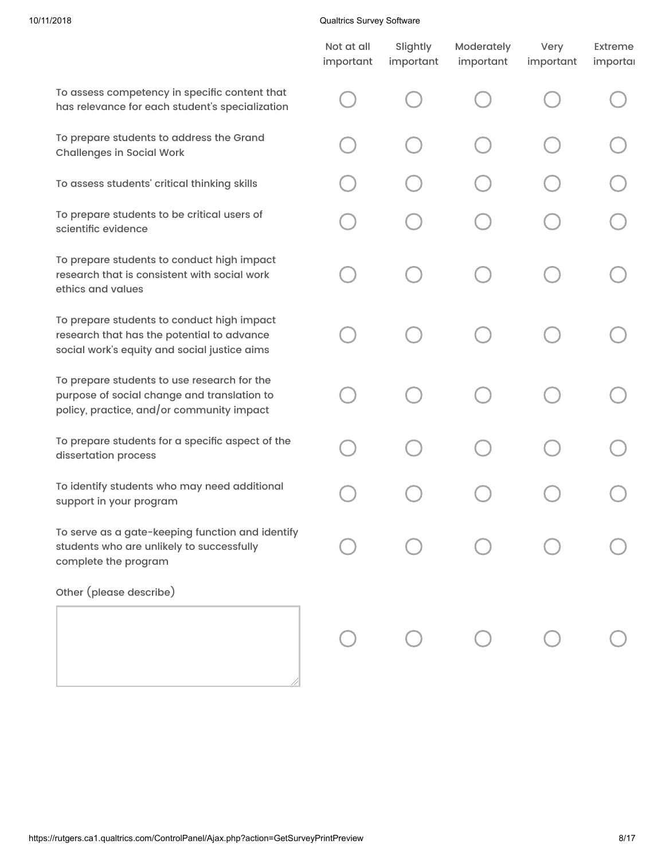#### 10/11/2018 Qualtrics Survey Software

|                                                                                                                                          | Not at all<br>important | Slightly<br>important | Moderately<br>important | Very<br>important | Extreme<br>importal |
|------------------------------------------------------------------------------------------------------------------------------------------|-------------------------|-----------------------|-------------------------|-------------------|---------------------|
| To assess competency in specific content that<br>has relevance for each student's specialization                                         |                         |                       |                         |                   |                     |
| To prepare students to address the Grand<br><b>Challenges in Social Work</b>                                                             |                         |                       |                         |                   |                     |
| To assess students' critical thinking skills                                                                                             |                         |                       |                         |                   |                     |
| To prepare students to be critical users of<br>scientific evidence                                                                       |                         |                       |                         |                   |                     |
| To prepare students to conduct high impact<br>research that is consistent with social work<br>ethics and values                          |                         |                       |                         |                   |                     |
| To prepare students to conduct high impact<br>research that has the potential to advance<br>social work's equity and social justice aims |                         |                       |                         |                   |                     |
| To prepare students to use research for the<br>purpose of social change and translation to<br>policy, practice, and/or community impact  |                         |                       |                         |                   |                     |
| To prepare students for a specific aspect of the<br>dissertation process                                                                 |                         |                       |                         |                   |                     |
| To identify students who may need additional<br>support in your program                                                                  |                         |                       |                         |                   |                     |
| To serve as a gate-keeping function and identify<br>students who are unlikely to successfully<br>complete the program                    |                         |                       |                         |                   |                     |
| Other (please describe)                                                                                                                  |                         |                       |                         |                   |                     |
|                                                                                                                                          |                         |                       |                         |                   |                     |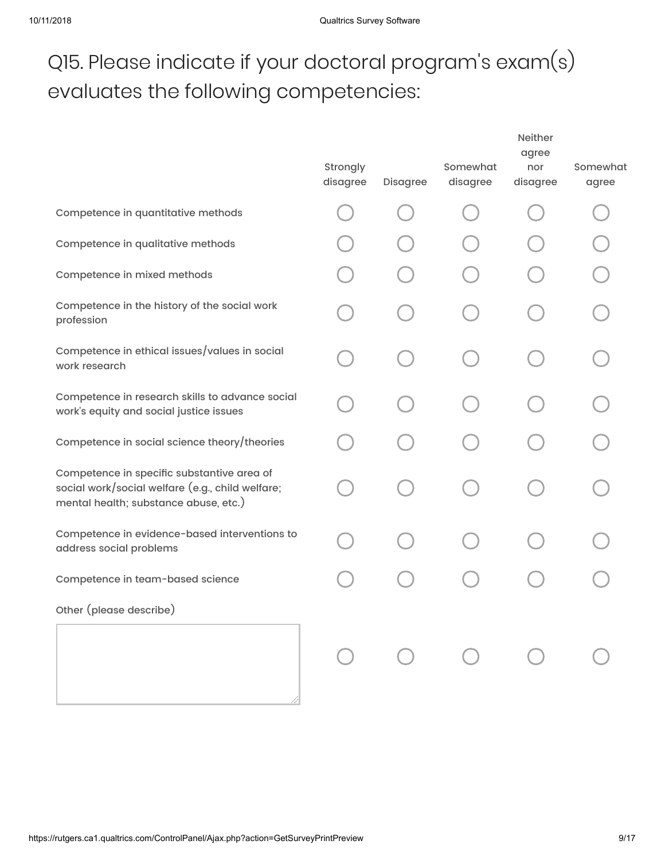# Q15. Please indicate if your doctoral program's exam(s) evaluates the following competencies:

|                                                                                                                                         | Strongly<br>disagree | Disagree | Somewhat<br>disagree                    | <b>Neither</b><br>agree<br>nor<br>disagree | Somewhat<br>agree |
|-----------------------------------------------------------------------------------------------------------------------------------------|----------------------|----------|-----------------------------------------|--------------------------------------------|-------------------|
| Competence in quantitative methods                                                                                                      |                      |          |                                         |                                            |                   |
| Competence in qualitative methods                                                                                                       |                      |          |                                         |                                            |                   |
| Competence in mixed methods                                                                                                             |                      |          |                                         |                                            |                   |
| Competence in the history of the social work<br>profession                                                                              |                      |          |                                         |                                            |                   |
| Competence in ethical issues/values in social<br>work research                                                                          |                      |          |                                         |                                            |                   |
| Competence in research skills to advance social<br>work's equity and social justice issues                                              |                      |          |                                         |                                            |                   |
| Competence in social science theory/theories                                                                                            |                      |          |                                         |                                            |                   |
| Competence in specific substantive area of<br>social work/social welfare (e.g., child welfare;<br>mental health; substance abuse, etc.) |                      |          |                                         |                                            |                   |
| Competence in evidence-based interventions to<br>address social problems                                                                |                      |          |                                         |                                            |                   |
| Competence in team-based science                                                                                                        |                      |          |                                         |                                            |                   |
| Other (please describe)                                                                                                                 |                      |          |                                         |                                            |                   |
|                                                                                                                                         |                      |          | $\begin{matrix} 0 & 0 & 0 \end{matrix}$ |                                            |                   |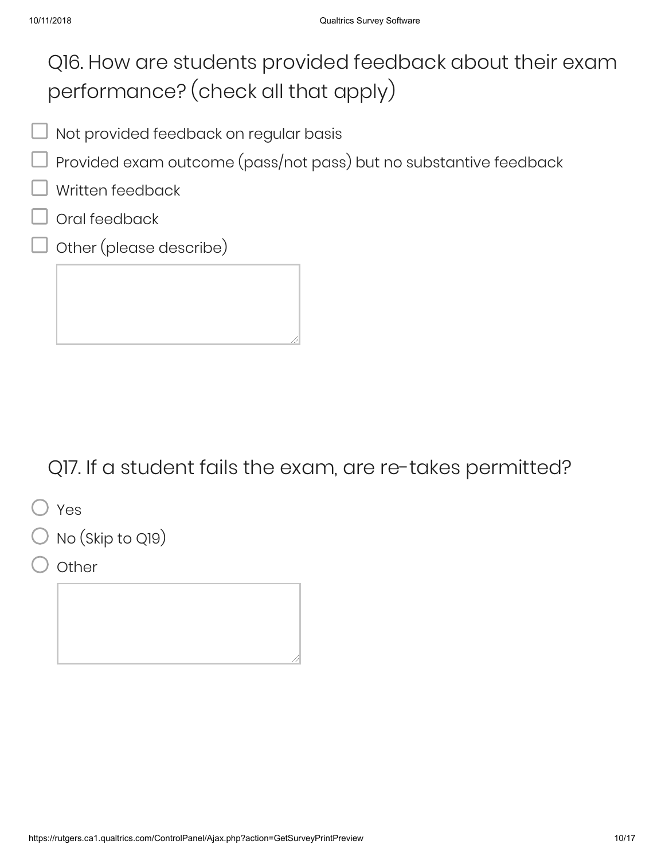### Q16. How are students provided feedback about their exam performance? (check all that apply)

- Not provided feedback on regular basis
- Provided exam outcome (pass/not pass) but no substantive feedback
- Written feedback
- Oral feedback
- Other (please describe)

### Q17. If a student fails the exam, are re-takes permitted?

Yes

No (Skip to Q19)

**Other**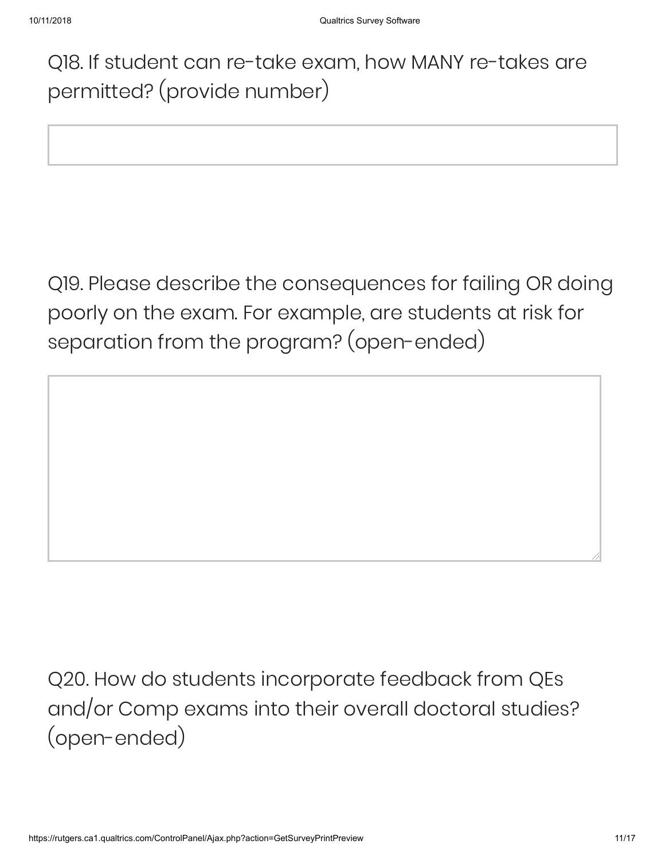Q18. If student can re-take exam, how MANY re-takes are permitted? (provide number)

Q19. Please describe the consequences for failing OR doing poorly on the exam. For example, are students at risk for separation from the program? (open-ended)

Q20. How do students incorporate feedback from QEs and/or Comp exams into their overall doctoral studies? (open-ended)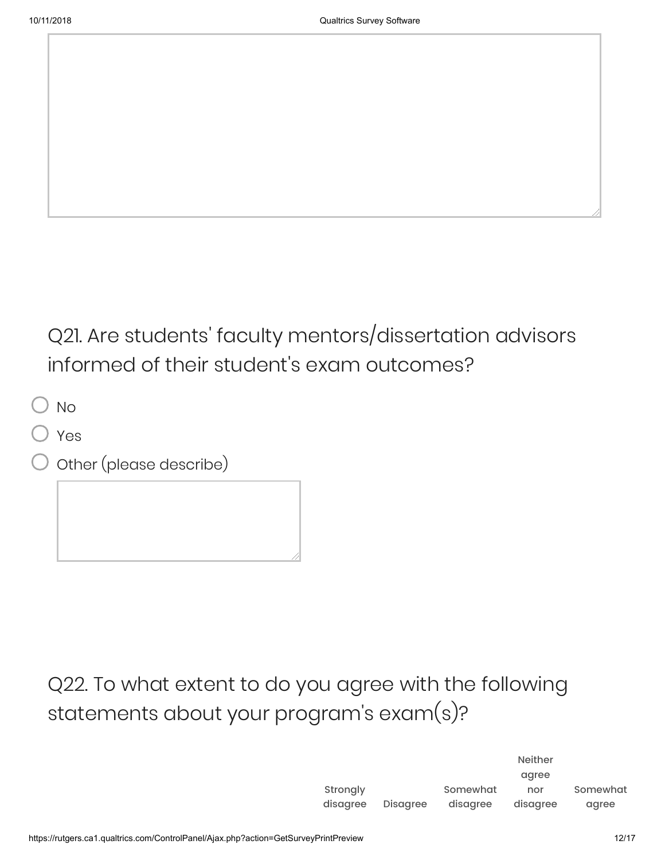Q21. Are students' faculty mentors/dissertation advisors informed of their student's exam outcomes?

 $\Box$  No

- Yes
- Other (please describe)

Q22. To what extent to do you agree with the following statements about your program's exam(s)?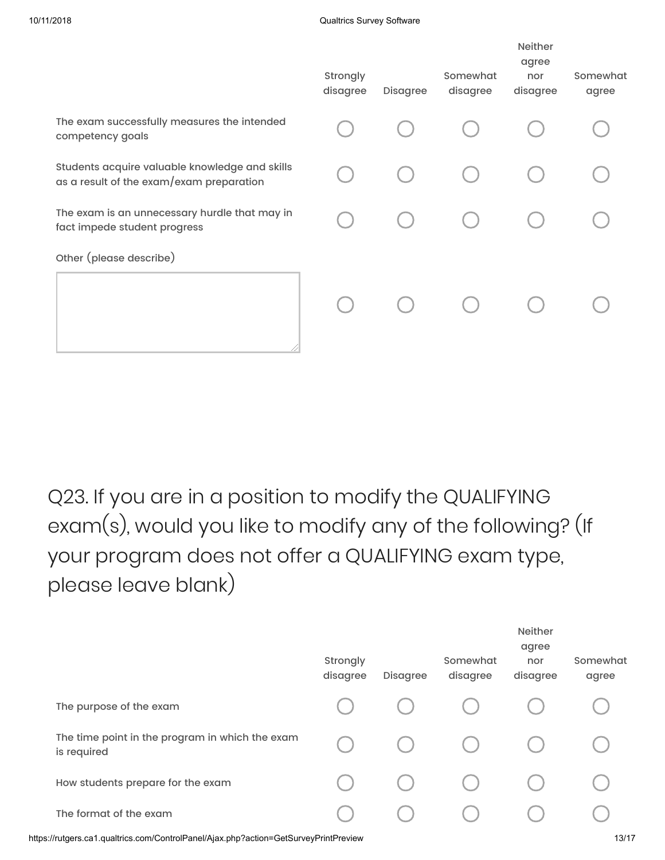|                                                                                            | Strongly<br>disagree | Disagree | Somewhat<br>disagree | Neither<br>agree<br>nor<br>disagree | Somewhat<br>agree |
|--------------------------------------------------------------------------------------------|----------------------|----------|----------------------|-------------------------------------|-------------------|
| The exam successfully measures the intended<br>competency goals                            |                      |          |                      |                                     |                   |
| Students acquire valuable knowledge and skills<br>as a result of the exam/exam preparation |                      |          |                      |                                     |                   |
| The exam is an unnecessary hurdle that may in<br>fact impede student progress              |                      |          |                      |                                     |                   |
| Other (please describe)                                                                    |                      |          |                      |                                     |                   |
|                                                                                            |                      |          |                      |                                     |                   |
|                                                                                            |                      |          |                      |                                     |                   |

Q23. If you are in a position to modify the QUALIFYING exam(s), would you like to modify any of the following? (If your program does not offer a QUALIFYING exam type, please leave blank)

|                                                                | Strongly<br>disagree | Disagree | Somewhat<br>disagree | <b>Neither</b><br>agree<br>nor<br>disagree | Somewhat<br>agree |
|----------------------------------------------------------------|----------------------|----------|----------------------|--------------------------------------------|-------------------|
| The purpose of the exam                                        |                      |          |                      |                                            |                   |
| The time point in the program in which the exam<br>is required |                      |          |                      |                                            |                   |
| How students prepare for the exam                              |                      |          |                      |                                            |                   |
| The format of the exam                                         |                      |          |                      |                                            |                   |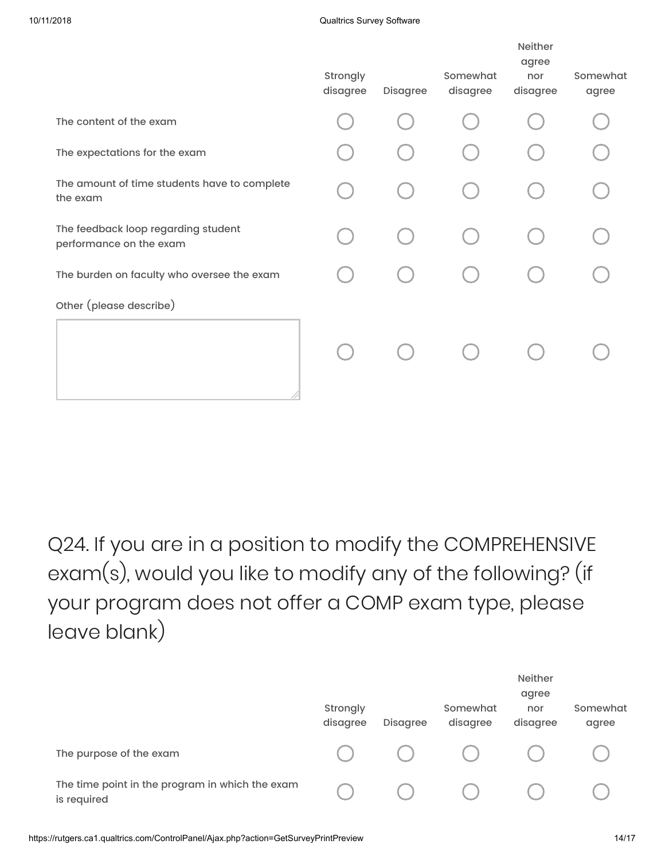#### 10/11/2018 Qualtrics Survey Software

| Strongly<br>disagree | Disagree | Somewhat<br>disagree | <b>Neither</b><br>agree<br>nor<br>disagree | Somewhat<br>agree |
|----------------------|----------|----------------------|--------------------------------------------|-------------------|
|                      |          |                      |                                            |                   |
|                      |          |                      |                                            |                   |
|                      |          |                      |                                            |                   |
|                      |          |                      |                                            |                   |
|                      |          |                      |                                            |                   |
|                      |          |                      |                                            |                   |
|                      |          |                      |                                            |                   |
|                      |          |                      |                                            |                   |

Q24. If you are in a position to modify the COMPREHENSIVE exam(s), would you like to modify any of the following? (if your program does not offer a COMP exam type, please leave blank)

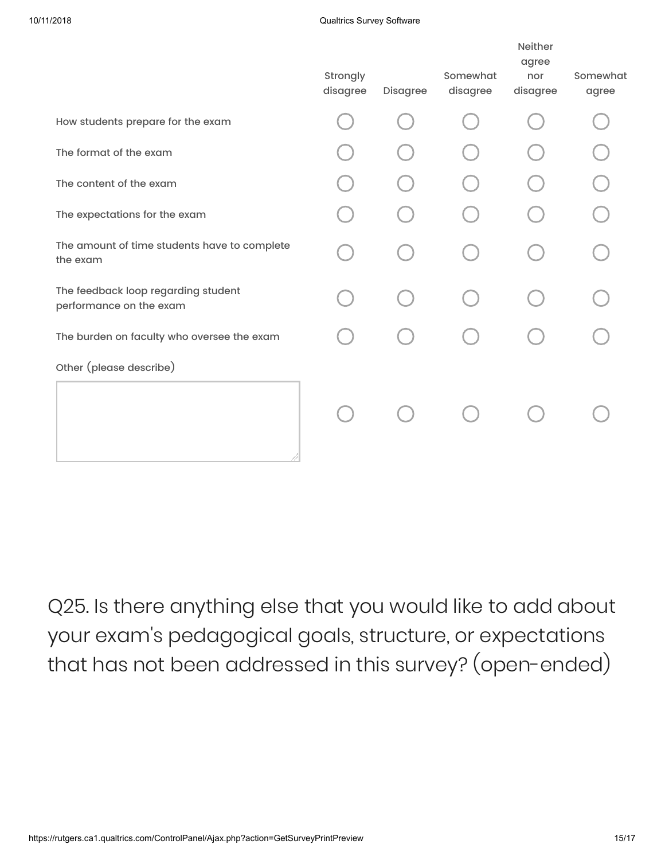#### 10/11/2018 Qualtrics Survey Software

|                                                                | Strongly<br>disagree | Disagree | Somewhat<br>disagree | <b>Neither</b><br>agree<br>nor<br>disagree | Somewhat<br>agree |
|----------------------------------------------------------------|----------------------|----------|----------------------|--------------------------------------------|-------------------|
| How students prepare for the exam                              |                      |          |                      |                                            |                   |
| The format of the exam                                         |                      |          |                      |                                            |                   |
| The content of the exam                                        |                      |          |                      |                                            |                   |
| The expectations for the exam                                  |                      |          |                      |                                            |                   |
| The amount of time students have to complete<br>the exam       |                      |          |                      |                                            |                   |
| The feedback loop regarding student<br>performance on the exam |                      |          |                      |                                            |                   |
| The burden on faculty who oversee the exam                     |                      |          |                      |                                            |                   |
| Other (please describe)                                        |                      |          |                      |                                            |                   |
|                                                                |                      |          |                      |                                            |                   |

Q25. Is there anything else that you would like to add about your exam's pedagogical goals, structure, or expectations that has not been addressed in this survey? (open-ended)